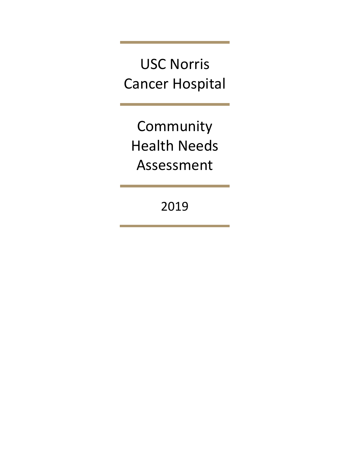USC Norris Cancer Hospital

Community Health Needs Assessment

2019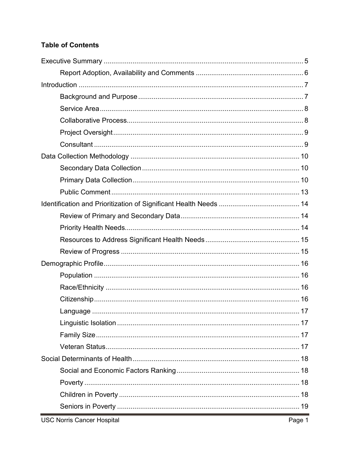# **Table of Contents**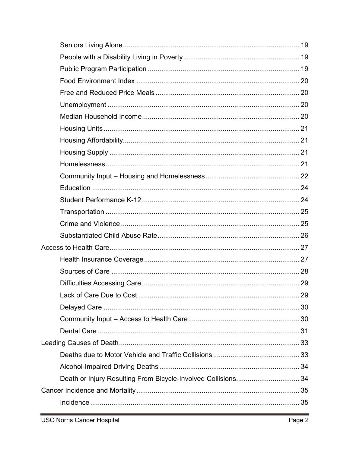| Lack of Care Due to Cost                                      | 29 |
|---------------------------------------------------------------|----|
|                                                               |    |
|                                                               |    |
|                                                               |    |
|                                                               |    |
|                                                               |    |
|                                                               |    |
| Death or Injury Resulting From Bicycle-Involved Collisions 34 |    |
|                                                               |    |
|                                                               |    |
|                                                               |    |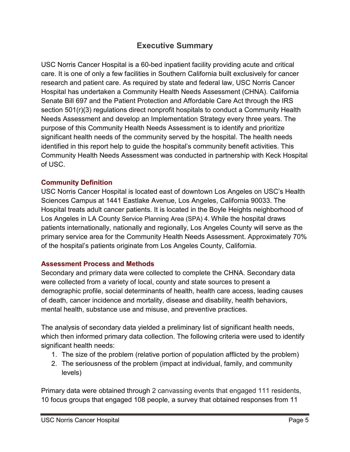# **Executive Summary**

<span id="page-5-0"></span>USC Norris Cancer Hospital is a 60-bed inpatient facility providing acute and critical care. It is one of only a few facilities in Southern California built exclusively for cancer research and patient care. As required by state and federal law, USC Norris Cancer Hospital has undertaken a Community Health Needs Assessment (CHNA). California Senate Bill 697 and the Patient Protection and Affordable Care Act through the IRS section 501(r)(3) regulations direct nonprofit hospitals to conduct a Community Health Needs Assessment and develop an Implementation Strategy every three years. The purpose of this Community Health Needs Assessment is to identify and prioritize significant health needs of the community served by the hospital. The health needs identified in this report help to guide the hospital's community benefit activities. This Community Health Needs Assessment was conducted in partnership with Keck Hospital of USC.

### **Community Definition**

USC Norris Cancer Hospital is located east of downtown Los Angeles on USC's Health Sciences Campus at 1441 Eastlake Avenue, Los Angeles, California 90033. The Hospital treats adult cancer patients. It is located in the Boyle Heights neighborhood of Los Angeles in LA County Service Planning Area (SPA) 4. While the hospital draws patients internationally, nationally and regionally, Los Angeles County will serve as the primary service area for the Community Health Needs Assessment. Approximately 70% of the hospital's patients originate from Los Angeles County, California.

# **Assessment Process and Methods**

Secondary and primary data were collected to complete the CHNA. Secondary data were collected from a variety of local, county and state sources to present a demographic profile, social determinants of health, health care access, leading causes of death, cancer incidence and mortality, disease and disability, health behaviors, mental health, substance use and misuse, and preventive practices.

The analysis of secondary data yielded a preliminary list of significant health needs, which then informed primary data collection. The following criteria were used to identify significant health needs:

- 1. The size of the problem (relative portion of population afflicted by the problem)
- 2. The seriousness of the problem (impact at individual, family, and community levels)

Primary data were obtained through 2 canvassing events that engaged 111 residents, 10 focus groups that engaged 108 people, a survey that obtained responses from 11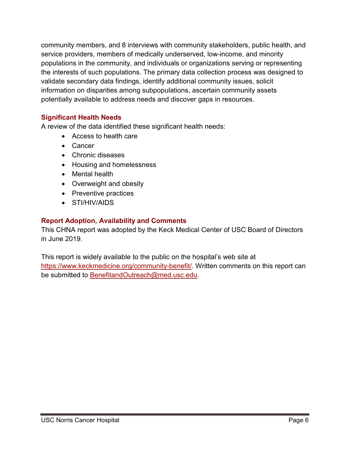community members, and 8 interviews with community stakeholders, public health, and service providers, members of medically underserved, low-income, and minority populations in the community, and individuals or organizations serving or representing the interests of such populations. The primary data collection process was designed to validate secondary data findings, identify additional community issues, solicit information on disparities among subpopulations, ascertain community assets potentially available to address needs and discover gaps in resources.

# **Significant Health Needs**

A review of the data identified these significant health needs:

- Access to health care
- Cancer
- Chronic diseases
- Housing and homelessness
- Mental health
- Overweight and obesity
- Preventive practices
- STI/HIV/AIDS

# <span id="page-6-0"></span>**Report Adoption, Availability and Comments**

This CHNA report was adopted by the Keck Medical Center of USC Board of Directors in June 2019.

This report is widely available to the public on the hospital's web site at [https://www.keckmedicine.org/community-benefit/.](https://www.keckmedicine.org/community-benefit/) Written comments on this report can be submitted to [BenefitandOutreach@med.usc.edu.](mailto:BenefitandOutreach@med.usc.edu)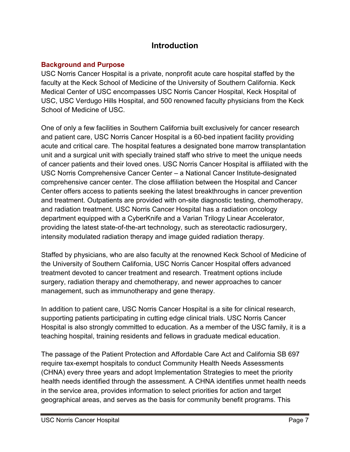# **Introduction**

# <span id="page-7-1"></span><span id="page-7-0"></span>**Background and Purpose**

USC Norris Cancer Hospital is a private, nonprofit acute care hospital staffed by the faculty at the Keck School of Medicine of the University of Southern California. Keck Medical Center of USC encompasses USC Norris Cancer Hospital, Keck Hospital of USC, USC Verdugo Hills Hospital, and 500 renowned faculty physicians from the Keck School of Medicine of USC.

One of only a few facilities in Southern California built exclusively for cancer research and patient care, USC Norris Cancer Hospital is a 60-bed inpatient facility providing acute and critical care. The hospital features a designated bone marrow transplantation unit and a surgical unit with specially trained staff who strive to meet the unique needs of cancer patients and their loved ones. USC Norris Cancer Hospital is affiliated with the USC Norris Comprehensive Cancer Center – a National Cancer Institute-designated comprehensive cancer center. The close affiliation between the Hospital and Cancer Center offers access to patients seeking the latest breakthroughs in cancer prevention and treatment. Outpatients are provided with on-site diagnostic testing, chemotherapy, and radiation treatment. USC Norris Cancer Hospital has a radiation oncology department equipped with a CyberKnife and a Varian Trilogy Linear Accelerator, providing the latest state-of-the-art technology, such as stereotactic radiosurgery, intensity modulated radiation therapy and image guided radiation therapy.

Staffed by physicians, who are also faculty at the renowned Keck School of Medicine of the University of Southern California, USC Norris Cancer Hospital offers advanced treatment devoted to cancer treatment and research. Treatment options include surgery, radiation therapy and chemotherapy, and newer approaches to cancer management, such as immunotherapy and gene therapy.

In addition to patient care, USC Norris Cancer Hospital is a site for clinical research, supporting patients participating in cutting edge clinical trials. USC Norris Cancer Hospital is also strongly committed to education. As a member of the USC family, it is a teaching hospital, training residents and fellows in graduate medical education.

The passage of the Patient Protection and Affordable Care Act and California SB 697 require tax-exempt hospitals to conduct Community Health Needs Assessments (CHNA) every three years and adopt Implementation Strategies to meet the priority health needs identified through the assessment. A CHNA identifies unmet health needs in the service area, provides information to select priorities for action and target geographical areas, and serves as the basis for community benefit programs. This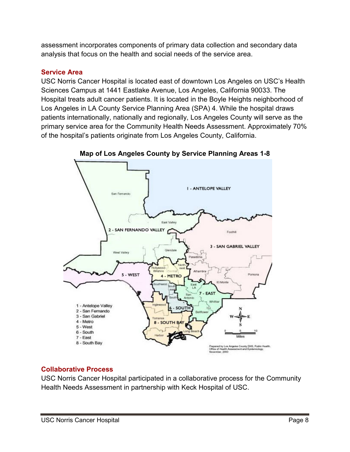assessment incorporates components of primary data collection and secondary data analysis that focus on the health and social needs of the service area.

# <span id="page-8-0"></span>**Service Area**

USC Norris Cancer Hospital is located east of downtown Los Angeles on USC's Health Sciences Campus at 1441 Eastlake Avenue, Los Angeles, California 90033. The Hospital treats adult cancer patients. It is located in the Boyle Heights neighborhood of Los Angeles in LA County Service Planning Area (SPA) 4. While the hospital draws patients internationally, nationally and regionally, Los Angeles County will serve as the primary service area for the Community Health Needs Assessment. Approximately 70% of the hospital's patients originate from Los Angeles County, California.



**Map of Los Angeles County by Service Planning Areas 1-8**

# <span id="page-8-1"></span>**Collaborative Process**

USC Norris Cancer Hospital participated in a collaborative process for the Community Health Needs Assessment in partnership with Keck Hospital of USC.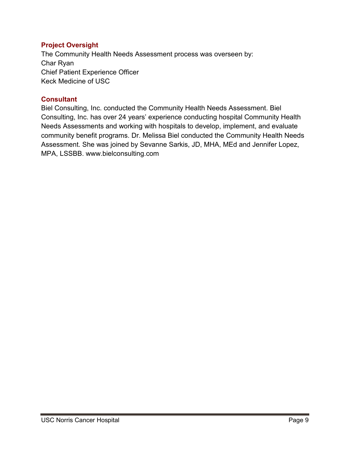# <span id="page-9-0"></span>**Project Oversight**

The Community Health Needs Assessment process was overseen by: Char Ryan Chief Patient Experience Officer Keck Medicine of USC

# <span id="page-9-1"></span>**Consultant**

Biel Consulting, Inc. conducted the Community Health Needs Assessment. Biel Consulting, Inc. has over 24 years' experience conducting hospital Community Health Needs Assessments and working with hospitals to develop, implement, and evaluate community benefit programs. Dr. Melissa Biel conducted the Community Health Needs Assessment. She was joined by Sevanne Sarkis, JD, MHA, MEd and Jennifer Lopez, MPA, LSSBB. [www.bielconsulting.com](http://www.bielconsulting.com/)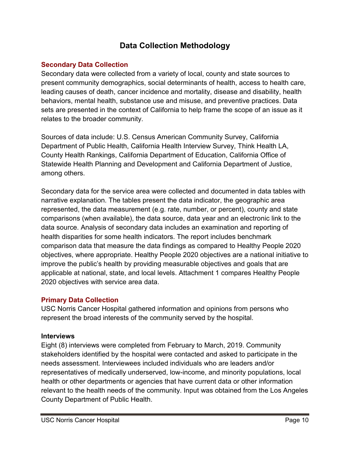# **Data Collection Methodology**

# <span id="page-10-1"></span><span id="page-10-0"></span>**Secondary Data Collection**

Secondary data were collected from a variety of local, county and state sources to present community demographics, social determinants of health, access to health care, leading causes of death, cancer incidence and mortality, disease and disability, health behaviors, mental health, substance use and misuse, and preventive practices. Data sets are presented in the context of California to help frame the scope of an issue as it relates to the broader community.

Sources of data include: U.S. Census American Community Survey, California Department of Public Health, California Health Interview Survey, Think Health LA, County Health Rankings, California Department of Education, California Office of Statewide Health Planning and Development and California Department of Justice, among others.

Secondary data for the service area were collected and documented in data tables with narrative explanation. The tables present the data indicator, the geographic area represented, the data measurement (e.g. rate, number, or percent), county and state comparisons (when available), the data source, data year and an electronic link to the data source. Analysis of secondary data includes an examination and reporting of health disparities for some health indicators. The report includes benchmark comparison data that measure the data findings as compared to Healthy People 2020 objectives, where appropriate. Healthy People 2020 objectives are a national initiative to improve the public's health by providing measurable objectives and goals that are applicable at national, state, and local levels. Attachment 1 compares Healthy People 2020 objectives with service area data.

# <span id="page-10-2"></span>**Primary Data Collection**

USC Norris Cancer Hospital gathered information and opinions from persons who represent the broad interests of the community served by the hospital.

# **Interviews**

Eight (8) interviews were completed from February to March, 2019. Community stakeholders identified by the hospital were contacted and asked to participate in the needs assessment. Interviewees included individuals who are leaders and/or representatives of medically underserved, low-income, and minority populations, local health or other departments or agencies that have current data or other information relevant to the health needs of the community. Input was obtained from the Los Angeles County Department of Public Health.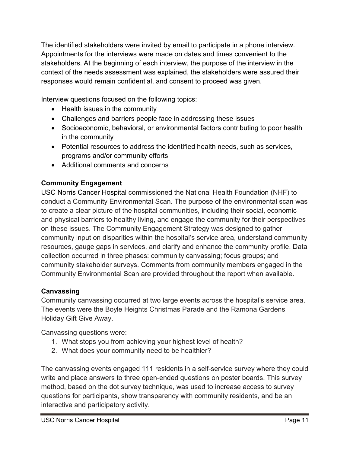The identified stakeholders were invited by email to participate in a phone interview. Appointments for the interviews were made on dates and times convenient to the stakeholders. At the beginning of each interview, the purpose of the interview in the context of the needs assessment was explained, the stakeholders were assured their responses would remain confidential, and consent to proceed was given.

Interview questions focused on the following topics:

- Health issues in the community
- Challenges and barriers people face in addressing these issues
- Socioeconomic, behavioral, or environmental factors contributing to poor health in the community
- Potential resources to address the identified health needs, such as services, programs and/or community efforts
- Additional comments and concerns

# **Community Engagement**

USC Norris Cancer Hospital commissioned the National Health Foundation (NHF) to conduct a Community Environmental Scan. The purpose of the environmental scan was to create a clear picture of the hospital communities, including their social, economic and physical barriers to healthy living, and engage the community for their perspectives on these issues. The Community Engagement Strategy was designed to gather community input on disparities within the hospital's service area, understand community resources, gauge gaps in services, and clarify and enhance the community profile. Data collection occurred in three phases: community canvassing; focus groups; and community stakeholder surveys. Comments from community members engaged in the Community Environmental Scan are provided throughout the report when available.

# **Canvassing**

Community canvassing occurred at two large events across the hospital's service area. The events were the Boyle Heights Christmas Parade and the Ramona Gardens Holiday Gift Give Away.

Canvassing questions were:

- 1. What stops you from achieving your highest level of health?
- 2. What does your community need to be healthier?

The canvassing events engaged 111 residents in a self-service survey where they could write and place answers to three open-ended questions on poster boards. This survey method, based on the dot survey technique, was used to increase access to survey questions for participants, show transparency with community residents, and be an interactive and participatory activity.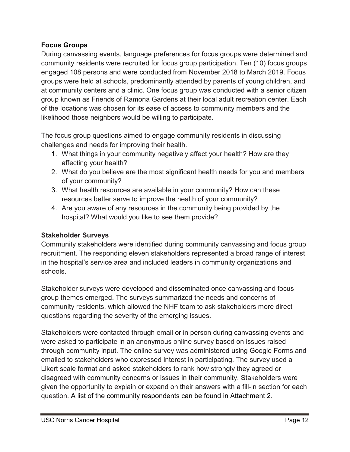# **Focus Groups**

During canvassing events, language preferences for focus groups were determined and community residents were recruited for focus group participation. Ten (10) focus groups engaged 108 persons and were conducted from November 2018 to March 2019. Focus groups were held at schools, predominantly attended by parents of young children, and at community centers and a clinic. One focus group was conducted with a senior citizen group known as Friends of Ramona Gardens at their local adult recreation center. Each of the locations was chosen for its ease of access to community members and the likelihood those neighbors would be willing to participate.

The focus group questions aimed to engage community residents in discussing challenges and needs for improving their health.

- 1. What things in your community negatively affect your health? How are they affecting your health?
- 2. What do you believe are the most significant health needs for you and members of your community?
- 3. What health resources are available in your community? How can these resources better serve to improve the health of your community?
- 4. Are you aware of any resources in the community being provided by the hospital? What would you like to see them provide?

# **Stakeholder Surveys**

Community stakeholders were identified during community canvassing and focus group recruitment. The responding eleven stakeholders represented a broad range of interest in the hospital's service area and included leaders in community organizations and schools.

Stakeholder surveys were developed and disseminated once canvassing and focus group themes emerged. The surveys summarized the needs and concerns of community residents, which allowed the NHF team to ask stakeholders more direct questions regarding the severity of the emerging issues.

Stakeholders were contacted through email or in person during canvassing events and were asked to participate in an anonymous online survey based on issues raised through community input. The online survey was administered using Google Forms and emailed to stakeholders who expressed interest in participating. The survey used a Likert scale format and asked stakeholders to rank how strongly they agreed or disagreed with community concerns or issues in their community. Stakeholders were given the opportunity to explain or expand on their answers with a fill-in section for each question. A list of the community respondents can be found in Attachment 2.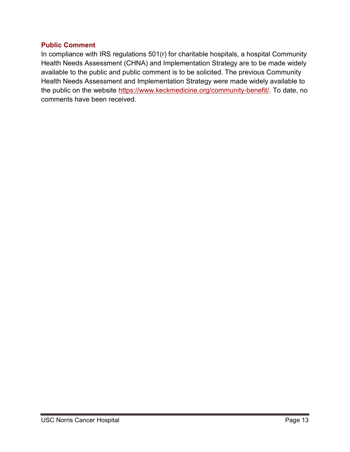### <span id="page-13-0"></span>**Public Comment**

In compliance with IRS regulations 501(r) for charitable hospitals, a hospital Community Health Needs Assessment (CHNA) and Implementation Strategy are to be made widely available to the public and public comment is to be solicited. The previous Community Health Needs Assessment and Implementation Strategy were made widely available to the public on the website [https://www.keckmedicine.org/community-benefit/.](https://www.keckmedicine.org/community-benefit/) To date, no comments have been received.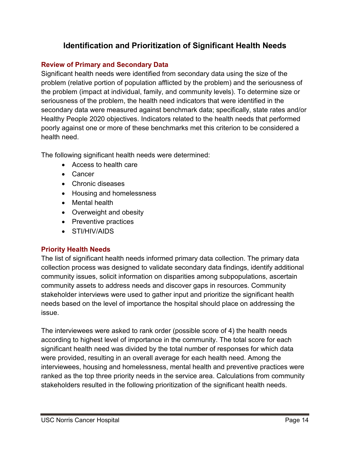# **Identification and Prioritization of Significant Health Needs**

# <span id="page-14-1"></span><span id="page-14-0"></span>**Review of Primary and Secondary Data**

Significant health needs were identified from secondary data using the size of the problem (relative portion of population afflicted by the problem) and the seriousness of the problem (impact at individual, family, and community levels). To determine size or seriousness of the problem, the health need indicators that were identified in the secondary data were measured against benchmark data; specifically, state rates and/or Healthy People 2020 objectives. Indicators related to the health needs that performed poorly against one or more of these benchmarks met this criterion to be considered a health need.

The following significant health needs were determined:

- Access to health care
- Cancer
- Chronic diseases
- Housing and homelessness
- Mental health
- Overweight and obesity
- Preventive practices
- STI/HIV/AIDS

# <span id="page-14-2"></span>**Priority Health Needs**

The list of significant health needs informed primary data collection. The primary data collection process was designed to validate secondary data findings, identify additional community issues, solicit information on disparities among subpopulations, ascertain community assets to address needs and discover gaps in resources. Community stakeholder interviews were used to gather input and prioritize the significant health needs based on the level of importance the hospital should place on addressing the issue.

The interviewees were asked to rank order (possible score of 4) the health needs according to highest level of importance in the community. The total score for each significant health need was divided by the total number of responses for which data were provided, resulting in an overall average for each health need. Among the interviewees, housing and homelessness, mental health and preventive practices were ranked as the top three priority needs in the service area. Calculations from community stakeholders resulted in the following prioritization of the significant health needs.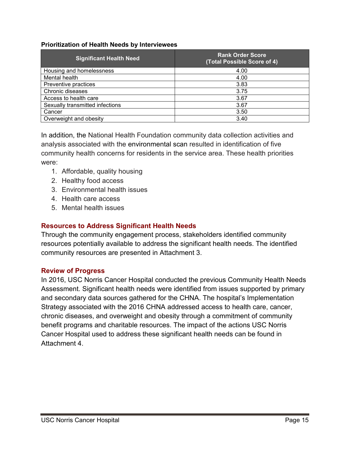### **Prioritization of Health Needs by Interviewees**

| <b>Significant Health Need</b>  | <b>Rank Order Score</b><br>(Total Possible Score of 4) |
|---------------------------------|--------------------------------------------------------|
| Housing and homelessness        | 4.00                                                   |
| Mental health                   | 4.00                                                   |
| Preventive practices            | 3.83                                                   |
| Chronic diseases                | 3.75                                                   |
| Access to health care           | 3.67                                                   |
| Sexually transmitted infections | 3.67                                                   |
| Cancer                          | 3.50                                                   |
| Overweight and obesity          | 3.40                                                   |

In addition, the National Health Foundation community data collection activities and analysis associated with the environmental scan resulted in identification of five community health concerns for residents in the service area. These health priorities were:

- 1. Affordable, quality housing
- 2. Healthy food access
- 3. Environmental health issues
- 4. Health care access
- 5. Mental health issues

# <span id="page-15-0"></span>**Resources to Address Significant Health Needs**

Through the community engagement process, stakeholders identified community resources potentially available to address the significant health needs. The identified community resources are presented in Attachment 3.

# <span id="page-15-1"></span>**Review of Progress**

In 2016, USC Norris Cancer Hospital conducted the previous Community Health Needs Assessment. Significant health needs were identified from issues supported by primary and secondary data sources gathered for the CHNA. The hospital's Implementation Strategy associated with the 2016 CHNA addressed access to health care, cancer, chronic diseases, and overweight and obesity through a commitment of community benefit programs and charitable resources. The impact of the actions USC Norris Cancer Hospital used to address these significant health needs can be found in Attachment 4.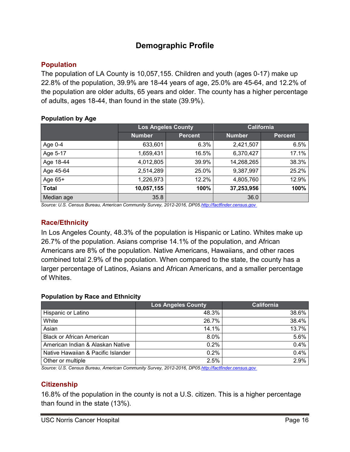# **Demographic Profile**

# <span id="page-16-1"></span><span id="page-16-0"></span>**Population**

The population of LA County is 10,057,155. Children and youth (ages 0-17) make up 22.8% of the population, 39.9% are 18-44 years of age, 25.0% are 45-64, and 12.2% of the population are older adults, 65 years and older. The county has a higher percentage of adults, ages 18-44, than found in the state (39.9%).

### **Population by Age**

|              | <b>Los Angeles County</b> |                | <b>California</b> |                |
|--------------|---------------------------|----------------|-------------------|----------------|
|              | <b>Number</b>             | <b>Percent</b> | <b>Number</b>     | <b>Percent</b> |
| Age $0-4$    | 633,601                   | 6.3%           | 2,421,507         | 6.5%           |
| Age 5-17     | 1,659,431                 | 16.5%          | 6,370,427         | 17.1%          |
| Age 18-44    | 4,012,805                 | 39.9%          | 14,268,265        | 38.3%          |
| Age 45-64    | 2,514,289                 | 25.0%          | 9,387,997         | 25.2%          |
| Age $65+$    | 1,226,973                 | 12.2%          | 4,805,760         | 12.9%          |
| <b>Total</b> | 10,057,155                | 100%           | 37,253,956        | 100%           |
| Median age   | 35.8                      |                | 36.0              |                |

*Source: U.S. Census Bureau, American Community Survey, 2012-2016, DP05[.http://factfinder.census.gov](http://factfinder.census.gov/)*

# <span id="page-16-2"></span>**Race/Ethnicity**

In Los Angeles County, 48.3% of the population is Hispanic or Latino. Whites make up 26.7% of the population. Asians comprise 14.1% of the population, and African Americans are 8% of the population. Native Americans, Hawaiians, and other races combined total 2.9% of the population. When compared to the state, the county has a larger percentage of Latinos, Asians and African Americans, and a smaller percentage of Whites.

# **Population by Race and Ethnicity**

| <b>Los Angeles County</b> | <b>California</b>         |
|---------------------------|---------------------------|
| 48.3%                     | 38.6%                     |
| 26.7%                     | 38.4%                     |
| 14.1%                     | 13.7%                     |
| 8.0%                      | 5.6%                      |
| 0.2%                      | 0.4%                      |
| 0.2%                      | 0.4%                      |
| 2.5%                      | 2.9%                      |
|                           | $\sim$ $\sim$<br>-------- |

*Source: U.S. Census Bureau, American Community Survey, 2012-2016, DP0[5.http://factfinder.census.gov](http://factfinder.census.gov/)*

# <span id="page-16-3"></span>**Citizenship**

16.8% of the population in the county is not a U.S. citizen. This is a higher percentage than found in the state (13%).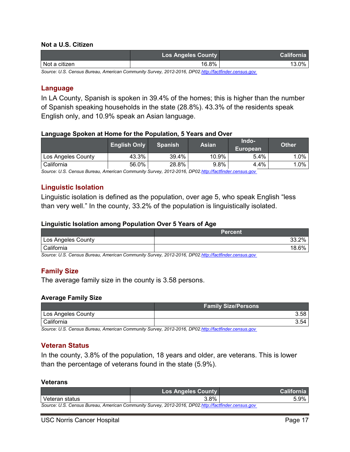#### **Not a U.S. Citizen**

|               | <b>Los Angeles County</b> | <b>California</b> |
|---------------|---------------------------|-------------------|
| Not a citizen | 16.8%                     | $3.0\%$           |

*Source: U.S. Census Bureau, American Community Survey, 2012-2016, DP0[2.http://factfinder.census.gov](http://factfinder.census.gov/)*

#### <span id="page-17-0"></span>**Language**

In LA County, Spanish is spoken in 39.4% of the homes; this is higher than the number of Spanish speaking households in the state (28.8%). 43.3% of the residents speak English only, and 10.9% speak an Asian language.

#### **Language Spoken at Home for the Population, 5 Years and Over**

|                    | <b>English Only</b> | <b>Spanish</b> | <b>Asian</b> | Indo-<br>European | <b>Other</b> |
|--------------------|---------------------|----------------|--------------|-------------------|--------------|
| Los Angeles County | 43.3%               | 39.4%          | 10.9% ,      | 5.4%              | $.0\%$       |
| California         | 56.0%               | 28.8%          | 9.8%         | 4.4%              | $.0\%$       |

*Source: U.S. Census Bureau, American Community Survey, 2012-2016, DP0[2.http://factfinder.census.gov](http://factfinder.census.gov/)*

### <span id="page-17-1"></span>**Linguistic Isolation**

Linguistic isolation is defined as the population, over age 5, who speak English "less than very well." In the county, 33.2% of the population is linguistically isolated.

#### **Linguistic Isolation among Population Over 5 Years of Age**

|                    | <b>Percent</b>        |
|--------------------|-----------------------|
| Los Angeles County | 00∕<br>מכי<br>70      |
| California         | 00 <sup>2</sup><br>70 |

*Source: U.S. Census Bureau, American Community Survey, 2012-2016, DP0[2.http://factfinder.census.gov](http://factfinder.census.gov/)*

# <span id="page-17-2"></span>**Family Size**

The average family size in the county is 3.58 persons.

#### **Average Family Size**

|                    | <b>Family Size/Persons</b> |
|--------------------|----------------------------|
| Los Angeles County | 3.58                       |
| l California       | 3.54                       |

*Source: U.S. Census Bureau, American Community Survey, 2012-2016, DP0[2.http://factfinder.census.gov](http://factfinder.census.gov/)*

### <span id="page-17-3"></span>**Veteran Status**

In the county, 3.8% of the population, 18 years and older, are veterans. This is lower than the percentage of veterans found in the state (5.9%).

#### **Veterans**

|                                                                                                     | <b>Los Angeles County</b> | <b>California</b> |
|-----------------------------------------------------------------------------------------------------|---------------------------|-------------------|
| l Veteran status                                                                                    | 3.8%                      | 5.9%              |
| Source: U.S. Census Bureau, American Community Survey, 2012-2016, DP02.http://factfinder.census.gov |                           |                   |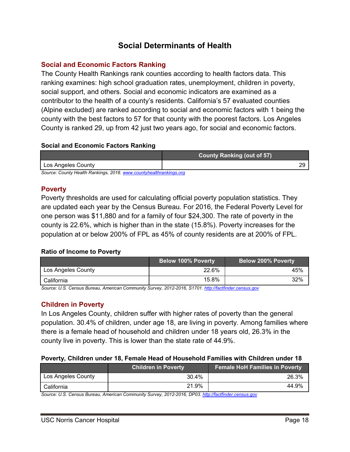# **Social Determinants of Health**

# <span id="page-18-1"></span><span id="page-18-0"></span>**Social and Economic Factors Ranking**

The County Health Rankings rank counties according to health factors data. This ranking examines: high school graduation rates, unemployment, children in poverty, social support, and others. Social and economic indicators are examined as a contributor to the health of a county's residents. California's 57 evaluated counties (Alpine excluded) are ranked according to social and economic factors with 1 being the county with the best factors to 57 for that county with the poorest factors. Los Angeles County is ranked 29, up from 42 just two years ago, for social and economic factors.

### **Social and Economic Factors Ranking**

|                                                                    | <b>County Ranking (out of 57)</b> |
|--------------------------------------------------------------------|-----------------------------------|
| Los Angeles County                                                 | າເ                                |
| Source: County Health Rankings, 2018, www.countyhealthrankings.org |                                   |

*Source: County Health Rankings, 2018[. www.countyhealthrankings.org](http://www.countyhealthrankings.org/)*

### <span id="page-18-2"></span>**Poverty**

Poverty thresholds are used for calculating official poverty population statistics. They are updated each year by the Census Bureau. For 2016, the Federal Poverty Level for one person was \$11,880 and for a family of four \$24,300. The rate of poverty in the county is 22.6%, which is higher than in the state (15.8%). Poverty increases for the population at or below 200% of FPL as 45% of county residents are at 200% of FPL.

# **Ratio of Income to Poverty**

|                    | <b>Below 100% Poverty</b> | <b>Below 200% Poverty</b> |
|--------------------|---------------------------|---------------------------|
| Los Angeles County | 22.6%                     | 45%                       |
| California         | 15.8%                     | 32%                       |

*Source: U.S. Census Bureau, American Community Survey, 2012-2016, S1701[. http://factfinder.census.gov](http://factfinder.census.gov/)*

# <span id="page-18-3"></span>**Children in Poverty**

In Los Angeles County, children suffer with higher rates of poverty than the general population. 30.4% of children, under age 18, are living in poverty. Among families where there is a female head of household and children under 18 years old, 26.3% in the county live in poverty. This is lower than the state rate of 44.9%.

### **Poverty, Children under 18, Female Head of Household Families with Children under 18**

|                    | <b>Children in Poverty</b> | Female HoH Families in Poverty |
|--------------------|----------------------------|--------------------------------|
| Los Angeles County | 30.4%                      | 26.3%                          |
| California         | 21.9%                      | 44.9%                          |

*Source: U.S. Census Bureau, American Community Survey, 2012-2016, DP03[. http://factfinder.census.gov](http://factfinder.census.gov/)*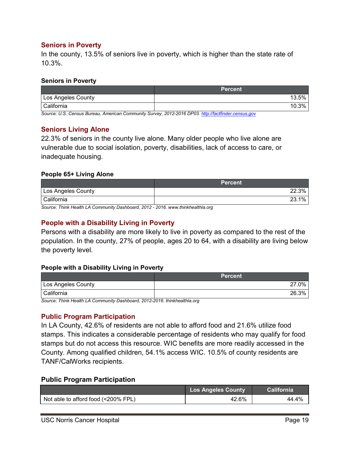### <span id="page-19-0"></span>**Seniors in Poverty**

In the county, 13.5% of seniors live in poverty, which is higher than the state rate of 10.3%.

#### **Seniors in Poverty**

|                    | <b>Percent</b> |
|--------------------|----------------|
| Los Angeles County | 13.5%          |
| California         | 10.3%          |

*Source: U.S. Census Bureau, American Community Survey, 2012-2016 DP03. [http://factfinder.census.gov](http://factfinder.census.gov/)*

### <span id="page-19-1"></span>**Seniors Living Alone**

22.3% of seniors in the county live alone. Many older people who live alone are vulnerable due to social isolation, poverty, disabilities, lack of access to care, or inadequate housing.

### **People 65+ Living Alone**

|                    | <b>Percent</b> ' |
|--------------------|------------------|
| Los Angeles County | 22.3%            |
| California         | 1%<br>າາ         |

*Source: Think Health LA Community Dashboard, 2012 - 2016. www.thinkhealthla.org*

# <span id="page-19-2"></span>**People with a Disability Living in Poverty**

Persons with a disability are more likely to live in poverty as compared to the rest of the population. In the county, 27% of people, ages 20 to 64, with a disability are living below the poverty level.

### **People with a Disability Living in Poverty**

|                    | <b>Percent</b> |
|--------------------|----------------|
| Los Angeles County | 0%             |
| California         | 26.3%          |

*Source: Think Health LA Community Dashboard, 2012-2016. thinkhealthla.org*

### <span id="page-19-3"></span>**Public Program Participation**

In LA County, 42.6% of residents are not able to afford food and 21.6% utilize food stamps. This indicates a considerable percentage of residents who may qualify for food stamps but do not access this resource. WIC benefits are more readily accessed in the County. Among qualified children, 54.1% access WIC. 10.5% of county residents are TANF/CalWorks recipients.

### **Public Program Participation**

|                                     | <b>Los Angeles County</b> | <b>California</b> |
|-------------------------------------|---------------------------|-------------------|
| Not able to afford food (<200% FPL) | 42.6%                     | 44.4%             |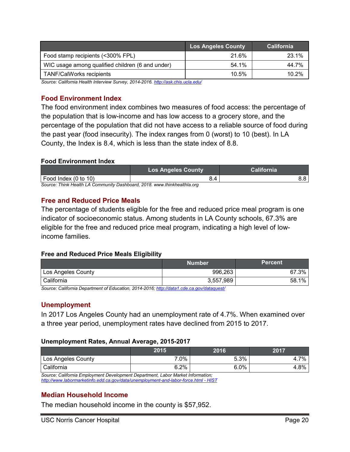|                                                  | <b>Los Angeles County</b> | <b>California</b> |
|--------------------------------------------------|---------------------------|-------------------|
| Food stamp recipients (<300% FPL)                | 21.6%                     | 23.1%             |
| WIC usage among qualified children (6 and under) | 54.1%                     | 44.7%             |
| <b>TANF/CalWorks recipients</b>                  | 10.5%                     | 10.2%             |

*Source: California Health Interview Survey, 2014-2016[. http://ask.chis.ucla.edu/](http://ask.chis.ucla.edu/)*

### <span id="page-20-0"></span>**Food Environment Index**

The food environment index combines two measures of food access: the percentage of the population that is low-income and has low access to a grocery store, and the percentage of the population that did not have access to a reliable source of food during the past year (food insecurity). The index ranges from 0 (worst) to 10 (best). In LA County, the Index is 8.4, which is less than the state index of 8.8.

#### **Food Environment Index**

|                                                                           | <b>Los Angeles County</b> | <b>California</b> |
|---------------------------------------------------------------------------|---------------------------|-------------------|
| Food Index (0 to 10)                                                      | 3.4                       |                   |
| Source: Think Health I A Community Dashboard, 2018, www.thinkhealthla.org |                           |                   |

*Source: Think Health LA Community Dashboard, 2018. www.thinkhealthla.org*

### <span id="page-20-1"></span>**Free and Reduced Price Meals**

The percentage of students eligible for the free and reduced price meal program is one indicator of socioeconomic status. Among students in LA County schools, 67.3% are eligible for the free and reduced price meal program, indicating a high level of lowincome families.

### **Free and Reduced Price Meals Eligibility**

|                    | Number    | <b>Percent</b> |
|--------------------|-----------|----------------|
| Los Angeles County | 996,263   | 67.3%          |
| California         | 3,557,989 | 1%<br>58.1     |

*Source: [California](http://nces.ed.gov/ccd/pubschuniv.asp) Department of Education, 2014-2016[; http://data1.cde.ca.gov/dataquest/](http://data1.cde.ca.gov/dataquest/)*

### <span id="page-20-2"></span>**Unemployment**

In 2017 Los Angeles County had an unemployment rate of 4.7%. When examined over a three year period, unemployment rates have declined from 2015 to 2017.

#### **Unemployment Rates, Annual Average, 2015-2017**

|                                                                                 | 2015 | 2016    | 2017 |
|---------------------------------------------------------------------------------|------|---------|------|
| Los Angeles County                                                              | 7.0% | 5.3%    | 4.7% |
| l California                                                                    | 6.2% | $6.0\%$ | 4.8% |
| Source: California Employment Development Department, Labor Market Information; |      |         |      |

*[http://www.labormarketinfo.edd.ca.gov/data/unemployment-and-labor-force.html -](http://www.labormarketinfo.edd.ca.gov/data/unemployment-and-labor-force.html#HIST) HIST*

# <span id="page-20-3"></span>**Median Household Income**

The median household income in the county is \$57,952.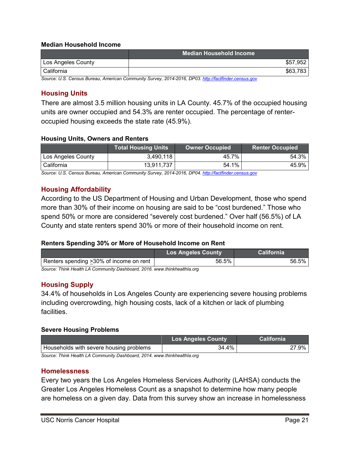### **Median Household Income**

|                    | Median Household Income                                                                              |          |
|--------------------|------------------------------------------------------------------------------------------------------|----------|
| Los Angeles County |                                                                                                      | \$57,952 |
| I California       |                                                                                                      | \$63,783 |
|                    | Source: U.S. Census Rureau, American Community Survey, 2014-2016, DP03, http://factfinder.census.gov |          |

*Source: U.S. Census Bureau, American Community Survey, 2014-2016, DP03[. http://factfinder.census.gov](http://factfinder.census.gov/)*

# <span id="page-21-0"></span>**Housing Units**

There are almost 3.5 million housing units in LA County. 45.7% of the occupied housing units are owner occupied and 54.3% are renter occupied. The percentage of renteroccupied housing exceeds the state rate (45.9%).

### **Housing Units, Owners and Renters**

|                    | <b>Total Housing Units</b> | <b>Owner Occupied</b> | <b>Renter Occupied</b> |
|--------------------|----------------------------|-----------------------|------------------------|
| Los Angeles County | 3,490,118                  | 45.7%                 | 54.3%                  |
| California         | 13,911,737                 | 54.1%                 | 45.9%                  |

*Source: U.S. Census Bureau, American Community Survey, 2014-2016, DP04[. http://factfinder.census.gov](http://factfinder.census.gov/)*

### <span id="page-21-1"></span>**Housing Affordability**

According to the US Department of Housing and Urban Development, those who spend more than 30% of their income on housing are said to be "cost burdened." Those who spend 50% or more are considered "severely cost burdened." Over half (56.5%) of LA County and state renters spend 30% or more of their household income on rent.

### **Renters Spending 30% or More of Household Income on Rent**

|                                                                          | <b>Los Angeles County</b> | <b>California</b> |
|--------------------------------------------------------------------------|---------------------------|-------------------|
| Renters spending > 30% of income on rent                                 | 56.5%                     | 56.5%             |
| Source: Think Health LA Community Dashboard, 2016, www.thinkhealthla.org |                           |                   |

# <span id="page-21-2"></span>**Housing Supply**

34.4% of households in Los Angeles County are experiencing severe housing problems including overcrowding, high housing costs, lack of a kitchen or lack of plumbing facilities.

### **Severe Housing Problems**

|                                                                           | <b>Los Angeles County</b> | <b>California</b> |
|---------------------------------------------------------------------------|---------------------------|-------------------|
| Households with severe housing problems                                   | 34.4%                     | 27.9% l           |
| Source: Think Haalth I A Community Dashboard, 2014, www.thinkhaalthla.org |                           |                   |

*Source: Think Health LA Community Dashboard, 2014. www.thinkhealthla.org*

### <span id="page-21-3"></span>**Homelessness**

Every two years the Los Angeles Homeless Services Authority (LAHSA) conducts the Greater Los Angeles Homeless Count as a snapshot to determine how many people are homeless on a given day. Data from this survey show an increase in homelessness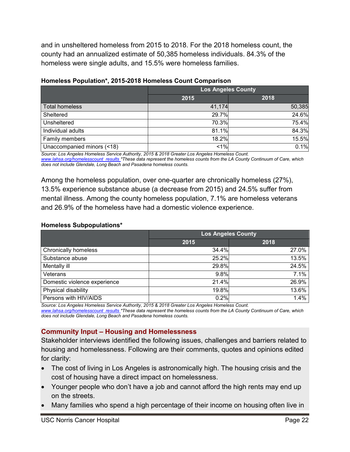and in unsheltered homeless from 2015 to 2018. For the 2018 homeless count, the county had an annualized estimate of 50,385 homeless individuals. 84.3% of the homeless were single adults, and 15.5% were homeless families.

|                            | <b>Los Angeles County</b> |        |
|----------------------------|---------------------------|--------|
|                            | 2015                      | 2018   |
| <b>Total homeless</b>      | 41,174                    | 50,385 |
| Sheltered                  | 29.7%                     | 24.6%  |
| Unsheltered                | 70.3%                     | 75.4%  |
| Individual adults          | 81.1%                     | 84.3%  |
| Family members             | 18.2%                     | 15.5%  |
| Unaccompanied minors (<18) | 1%                        | 0.1%   |

# **Homeless Population\*, 2015-2018 Homeless Count Comparison**

*Source: Los Angeles Homeless Service Authority, 2015 & 2018 Greater Los Angeles Homeless Count. [www.lahsa.org/homelesscount\\_results](http://www.lahsa.org/homelesscount_results) \*These data represent the homeless counts from the LA County Continuum of Care, which does not include Glendale, Long Beach and Pasadena homeless counts.*

Among the homeless population, over one-quarter are chronically homeless (27%), 13.5% experience substance abuse (a decrease from 2015) and 24.5% suffer from mental illness. Among the county homeless population, 7.1% are homeless veterans and 26.9% of the homeless have had a domestic violence experience.

# **Homeless Subpopulations\***

|                              | <b>Los Angeles County</b> |       |
|------------------------------|---------------------------|-------|
|                              | 2015                      | 2018  |
| <b>Chronically homeless</b>  | 34.4%                     | 27.0% |
| Substance abuse              | 25.2%                     | 13.5% |
| Mentally ill                 | 29.8%                     | 24.5% |
| Veterans                     | 9.8%                      | 7.1%  |
| Domestic violence experience | 21.4%                     | 26.9% |
| Physical disability          | 19.8%                     | 13.6% |
| Persons with HIV/AIDS        | 0.2%                      | 1.4%  |

*Source: Los Angeles Homeless Service Authority, 2015 & 2018 Greater Los Angeles Homeless Count. [www.lahsa.org/homelesscount\\_results](http://www.lahsa.org/homelesscount_results) \*These data represent the homeless counts from the LA County Continuum of Care, which does not include Glendale, Long Beach and Pasadena homeless counts.*

# <span id="page-22-0"></span>**Community Input – Housing and Homelessness**

Stakeholder interviews identified the following issues, challenges and barriers related to housing and homelessness. Following are their comments, quotes and opinions edited for clarity:

- The cost of living in Los Angeles is astronomically high. The housing crisis and the cost of housing have a direct impact on homelessness.
- Younger people who don't have a job and cannot afford the high rents may end up on the streets.
- Many families who spend a high percentage of their income on housing often live in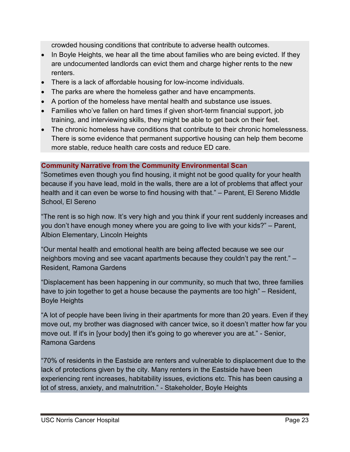crowded housing conditions that contribute to adverse health outcomes.

- In Boyle Heights, we hear all the time about families who are being evicted. If they are undocumented landlords can evict them and charge higher rents to the new renters.
- There is a lack of affordable housing for low-income individuals.
- The parks are where the homeless gather and have encampments.
- A portion of the homeless have mental health and substance use issues.
- Families who've fallen on hard times if given short-term financial support, job training, and interviewing skills, they might be able to get back on their feet.
- The chronic homeless have conditions that contribute to their chronic homelessness. There is some evidence that permanent supportive housing can help them become more stable, reduce health care costs and reduce ED care.

# **Community Narrative from the Community Environmental Scan**

"Sometimes even though you find housing, it might not be good quality for your health because if you have lead, mold in the walls, there are a lot of problems that affect your health and it can even be worse to find housing with that." – Parent, El Sereno Middle School, El Sereno

"The rent is so high now. It's very high and you think if your rent suddenly increases and you don't have enough money where you are going to live with your kids?" – Parent, Albion Elementary, Lincoln Heights

"Our mental health and emotional health are being affected because we see our neighbors moving and see vacant apartments because they couldn't pay the rent." – Resident, Ramona Gardens

"Displacement has been happening in our community, so much that two, three families have to join together to get a house because the payments are too high" – Resident, Boyle Heights

"A lot of people have been living in their apartments for more than 20 years. Even if they move out, my brother was diagnosed with cancer twice, so it doesn't matter how far you move out. If it's in [your body] then it's going to go wherever you are at." - Senior, Ramona Gardens

"70% of residents in the Eastside are renters and vulnerable to displacement due to the lack of protections given by the city. Many renters in the Eastside have been experiencing rent increases, habitability issues, evictions etc. This has been causing a lot of stress, anxiety, and malnutrition." - Stakeholder, Boyle Heights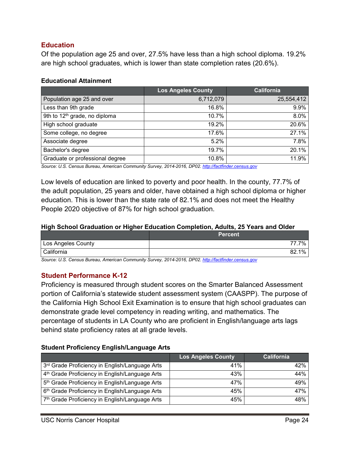# <span id="page-24-0"></span>**Education**

Of the population age 25 and over, 27.5% have less than a high school diploma. 19.2% are high school graduates, which is lower than state completion rates (20.6%).

#### **Educational Attainment**

|                                           | <b>Los Angeles County</b> | <b>California</b> |
|-------------------------------------------|---------------------------|-------------------|
| Population age 25 and over                | 6,712,079                 | 25,554,412        |
| Less than 9th grade                       | 16.8%                     | 9.9%              |
| 9th to 12 <sup>th</sup> grade, no diploma | 10.7%                     | 8.0%              |
| High school graduate                      | 19.2%                     | 20.6%             |
| Some college, no degree                   | 17.6%                     | 27.1%             |
| Associate degree                          | 5.2%                      | 7.8%              |
| Bachelor's degree                         | 19.7%                     | 20.1%             |
| Graduate or professional degree           | 10.8%                     | 11.9%             |

*Source: U.S. Census Bureau, American Community Survey, 2014-2016, DP02[. http://factfinder.census.gov](http://factfinder.census.gov/)*

Low levels of education are linked to poverty and poor health. In the county, 77.7% of the adult population, 25 years and older, have obtained a high school diploma or higher education. This is lower than the state rate of 82.1% and does not meet the Healthy People 2020 objective of 87% for high school graduation.

#### **High School Graduation or Higher Education Completion, Adults, 25 Years and Older**

|                    | <b>Percent</b> |
|--------------------|----------------|
| Los Angeles County | 7%             |
| California         | 1%<br>82.      |

*Source: U.S. Census Bureau, American Community Survey, 2014-2016, DP02[. http://factfinder.census.gov](http://factfinder.census.gov/)*

### <span id="page-24-1"></span>**Student Performance K-12**

Proficiency is measured through student scores on the Smarter Balanced Assessment portion of California's statewide student assessment system (CAASPP). The purpose of the California High School Exit Examination is to ensure that high school graduates can demonstrate grade level competency in reading writing, and mathematics. The percentage of students in LA County who are proficient in English/language arts lags behind state proficiency rates at all grade levels.

#### **Student Proficiency English/Language Arts**

|                                                            | <b>Los Angeles County</b> | California |
|------------------------------------------------------------|---------------------------|------------|
| 3rd Grade Proficiency in English/Language Arts             | 41%                       | 42%        |
| 4 <sup>th</sup> Grade Proficiency in English/Language Arts | 43%                       | 44%        |
| 5 <sup>th</sup> Grade Proficiency in English/Language Arts | 47%                       | 49%        |
| 6 <sup>th</sup> Grade Proficiency in English/Language Arts | 45%                       | 47%        |
| 7th Grade Proficiency in English/Language Arts             | 45%                       | 48%        |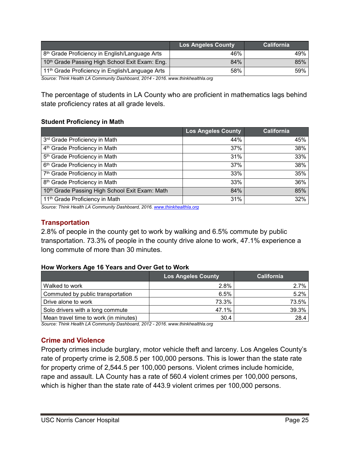|                                                             | <b>Los Angeles County</b> | <b>California</b> |
|-------------------------------------------------------------|---------------------------|-------------------|
| 8 <sup>th</sup> Grade Proficiency in English/Language Arts  | 46%                       | 49%               |
| 10 <sup>th</sup> Grade Passing High School Exit Exam: Eng.  | 84%                       | 85%               |
| 11 <sup>th</sup> Grade Proficiency in English/Language Arts | 58%                       | 59%               |

*Source: Think Health LA Community Dashboard, 2014 - 2016. www.thinkhealthla.org*

The percentage of students in LA County who are proficient in mathematics lags behind state proficiency rates at all grade levels.

### **Student Proficiency in Math**

|                                                | <b>Los Angeles County</b> | <b>California</b> |
|------------------------------------------------|---------------------------|-------------------|
| 3rd Grade Proficiency in Math                  | 44%                       | 45%               |
| 4 <sup>th</sup> Grade Proficiency in Math      | 37%                       | 38%               |
| 5 <sup>th</sup> Grade Proficiency in Math      | 31%                       | 33%               |
| 6 <sup>th</sup> Grade Proficiency in Math      | 37%                       | 38%               |
| 7 <sup>th</sup> Grade Proficiency in Math      | 33%                       | 35%               |
| 8 <sup>th</sup> Grade Proficiency in Math      | 33%                       | 36%               |
| 10th Grade Passing High School Exit Exam: Math | 84%                       | 85%               |
| 11 <sup>th</sup> Grade Proficiency in Math     | 31%                       | 32%               |

*Source: Think Health LA Community Dashboard, 2016[. www.thinkhealthla.org](http://www.thinkhealthla.org/)*

# <span id="page-25-0"></span>**Transportation**

2.8% of people in the county get to work by walking and 6.5% commute by public transportation. 73.3% of people in the county drive alone to work, 47.1% experience a long commute of more than 30 minutes.

### **How Workers Age 16 Years and Over Get to Work**

|                                       | <b>Los Angeles County</b> | <b>California</b> |
|---------------------------------------|---------------------------|-------------------|
| Walked to work                        | 2.8%                      | 2.7%              |
| Commuted by public transportation     | 6.5%                      | 5.2%              |
| Drive alone to work                   | 73.3%                     | 73.5%             |
| Solo drivers with a long commute      | 47.1%                     | 39.3%             |
| Mean travel time to work (in minutes) | 30.4                      | 28.4              |

*Source: Think Health LA Community Dashboard, 2012 - 2016. www.thinkhealthla.org*

### <span id="page-25-1"></span>**Crime and Violence**

Property crimes include burglary, motor vehicle theft and larceny. Los Angeles County's rate of property crime is 2,508.5 per 100,000 persons. This is lower than the state rate for property crime of 2,544.5 per 100,000 persons. Violent crimes include homicide, rape and assault. LA County has a rate of 560.4 violent crimes per 100,000 persons, which is higher than the state rate of 443.9 violent crimes per 100,000 persons.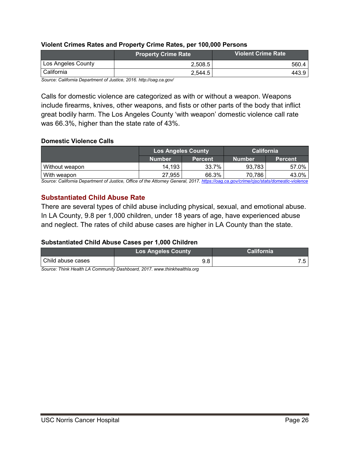### **Violent Crimes Rates and Property Crime Rates, per 100,000 Persons**

| <b>Property Crime Rate</b> | <b>Violent Crime Rate</b> |
|----------------------------|---------------------------|
| 2.508.5                    | 560.4                     |
| 2.544.5                    | 443.9                     |
|                            |                           |

*Source: California Department of Justice, 2016. http://oag.ca.gov/*

Calls for domestic violence are categorized as with or without a weapon. Weapons include firearms, knives, other weapons, and fists or other parts of the body that inflict great bodily harm. The Los Angeles County 'with weapon' domestic violence call rate was 66.3%, higher than the state rate of 43%.

#### **Domestic Violence Calls**

|                | <b>Los Angeles County</b> |                | <b>California</b> |                |
|----------------|---------------------------|----------------|-------------------|----------------|
|                | Number                    | <b>Percent</b> | Number            | <b>Percent</b> |
| Without weapon | 14.193                    | 33.7%          | 93.783            | 57.0%          |
| With weapon    | 27.955                    | 66.3%          | 70,786            | 43.0%          |

*Source: California Department of Justice, Office of the Attorney General, 2017. <https://oag.ca.gov/crime/cjsc/stats/domestic-violence>*

### <span id="page-26-0"></span>**Substantiated Child Abuse Rate**

There are several types of child abuse including physical, sexual, and emotional abuse. In LA County, 9.8 per 1,000 children, under 18 years of age, have experienced abuse and neglect. The rates of child abuse cases are higher in LA County than the state.

### **Substantiated Child Abuse Cases per 1,000 Children**

|                   | <b>Los Angeles County</b> | California |
|-------------------|---------------------------|------------|
| Child abuse cases | 9.8                       |            |

*Source: Think Health LA Community Dashboard, 2017. www.thinkhealthla.org*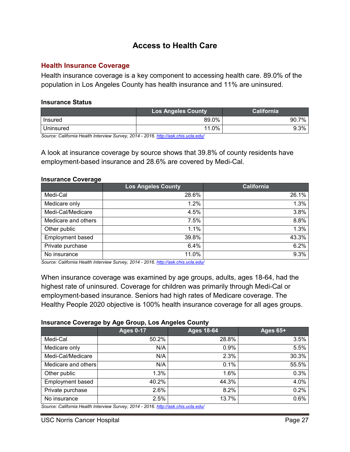# **Access to Health Care**

### <span id="page-27-1"></span><span id="page-27-0"></span>**Health Insurance Coverage**

Health insurance coverage is a key component to accessing health care. 89.0% of the population in Los Angeles County has health insurance and 11% are uninsured.

#### **Insurance Status**

|           | <b>Los Angeles County</b> | <b>California</b> |
|-----------|---------------------------|-------------------|
| Insured   | 89.0%                     | 7%<br>90.7        |
| Uninsured | 11.0%                     | 9.3%              |

*Source: California Health Interview Survey, 2014 - 2016.<http://ask.chis.ucla.edu/>*

A look at insurance coverage by source shows that 39.8% of county residents have employment-based insurance and 28.6% are covered by Medi-Cal.

#### **Insurance Coverage**

|                         | <b>Los Angeles County</b> | <b>California</b> |
|-------------------------|---------------------------|-------------------|
| Medi-Cal                | 28.6%                     | 26.1%             |
| Medicare only           | 1.2%                      | 1.3%              |
| Medi-Cal/Medicare       | 4.5%                      | 3.8%              |
| Medicare and others     | 7.5%                      | 8.8%              |
| Other public            | 1.1%                      | 1.3%              |
| <b>Employment based</b> | 39.8%                     | 43.3%             |
| Private purchase        | 6.4%                      | 6.2%              |
| No insurance            | 11.0%                     | 9.3%              |

*Source: California Health Interview Survey, 2014 - 2016.<http://ask.chis.ucla.edu/>*

When insurance coverage was examined by age groups, adults, ages 18-64, had the highest rate of uninsured. Coverage for children was primarily through Medi-Cal or employment-based insurance. Seniors had high rates of Medicare coverage. The Healthy People 2020 objective is 100% health insurance coverage for all ages groups.

#### **Insurance Coverage by Age Group, Los Angeles County**

| <b>Ages 0-17</b> | <b>Ages 18-64</b> | <b>Ages 65+</b>                                                                 |
|------------------|-------------------|---------------------------------------------------------------------------------|
| 50.2%            | 28.8%             | 3.5%                                                                            |
| N/A              | 0.9%              | 5.5%                                                                            |
| N/A              | 2.3%              | 30.3%                                                                           |
| N/A              | 0.1%              | 55.5%                                                                           |
| $1.3\%$          | 1.6%              | 0.3%                                                                            |
| 40.2%            | 44.3%             | 4.0%                                                                            |
| 2.6%             | 8.2%              | 0.2%                                                                            |
| 2.5%             | 13.7%             | 0.6%                                                                            |
|                  |                   | Source: Colifornia Hoalth Intonvious Sunsoy 2011 2016 http://ook.obja.ualo.odu/ |

*Source: California Health Interview Survey, 2014 - 2016.<http://ask.chis.ucla.edu/>*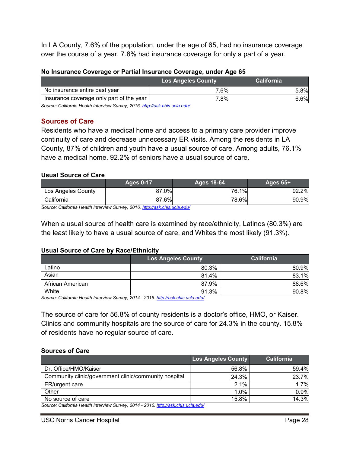In LA County, 7.6% of the population, under the age of 65, had no insurance coverage over the course of a year. 7.8% had insurance coverage for only a part of a year.

| No Insurance Coverage or Partial Insurance Coverage, under Age 65 |  |
|-------------------------------------------------------------------|--|
|-------------------------------------------------------------------|--|

|                                          | <b>Los Angeles County</b> | <b>California</b> |
|------------------------------------------|---------------------------|-------------------|
| No insurance entire past year            | 7.6%                      | 5.8%              |
| Insurance coverage only part of the year | 7.8%                      | 6.6%              |

*Source: California Health Interview Survey, 2016[. http://ask.chis.ucla.edu/](http://ask.chis.ucla.edu/)*

### <span id="page-28-0"></span>**Sources of Care**

Residents who have a medical home and access to a primary care provider improve continuity of care and decrease unnecessary ER visits. Among the residents in LA County, 87% of children and youth have a usual source of care. Among adults, 76.1% have a medical home. 92.2% of seniors have a usual source of care.

### **Usual Source of Care**

|                    | <b>Ages 0-17</b> | Ages 18-64 | <b>Ages 65+</b> |
|--------------------|------------------|------------|-----------------|
| Los Angeles County | 87.0%            | 76.1%      | 92.2%           |
| California         | 87.6%            | 78.6%      | 90.9%           |

*Source: California Health Interview Survey, 2016.<http://ask.chis.ucla.edu/>*

When a usual source of health care is examined by race/ethnicity, Latinos (80.3%) are the least likely to have a usual source of care, and Whites the most likely (91.3%).

### **Usual Source of Care by Race/Ethnicity**

|                       | <b>Los Angeles County</b> | <b>California</b> |
|-----------------------|---------------------------|-------------------|
| Latino                | 80.3%                     | 80.9%             |
| Asian                 | 81.4%                     | .1%<br>83.        |
| African American      | 87.9%                     | 88.6%             |
| White<br>_______<br>. | 91.3%                     | 90.8%             |

*Source: California Health Interview Survey, 2014 - 2016.<http://ask.chis.ucla.edu/>*

The source of care for 56.8% of county residents is a doctor's office, HMO, or Kaiser. Clinics and community hospitals are the source of care for 24.3% in the county. 15.8% of residents have no regular source of care.

#### **Sources of Care**

|                                                                                    | <b>Los Angeles County</b> | <b>California</b> |  |
|------------------------------------------------------------------------------------|---------------------------|-------------------|--|
| Dr. Office/HMO/Kaiser                                                              | 56.8%                     | 59.4%             |  |
| Community clinic/government clinic/community hospital                              | 24.3%                     | 23.7%             |  |
| ER/urgent care                                                                     | 2.1%                      | 1.7%              |  |
| Other                                                                              | $1.0\%$                   | 0.9%              |  |
| No source of care                                                                  | 15.8%                     | 14.3%             |  |
| Source: California Health Interview Survey, 2014 - 2016, http://ask.chis.ucla.edu/ |                           |                   |  |

*Source: California Health Interview Survey, 2014 - 2016.<http://ask.chis.ucla.edu/>*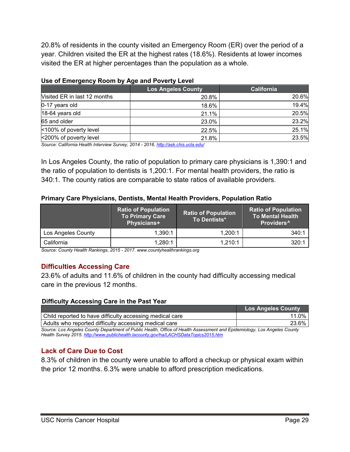20.8% of residents in the county visited an Emergency Room (ER) over the period of a year. Children visited the ER at the highest rates (18.6%). Residents at lower incomes visited the ER at higher percentages than the population as a whole.

|                              | <b>Los Angeles County</b> | <b>California</b> |
|------------------------------|---------------------------|-------------------|
| Visited ER in last 12 months | 20.8%                     | 20.6%             |
| 0-17 years old               | 18.6%                     | 19.4%             |
| 18-64 years old              | 21.1%                     | 20.5%             |
| 65 and older                 | 23.0%                     | 23.2%             |
| <100% of poverty level       | 22.5%                     | 25.1%             |
| <200% of poverty level       | 21.8%                     | 23.5%             |

### **Use of Emergency Room by Age and Poverty Level**

*Source: California Health Interview Survey, 2014 - 2016.<http://ask.chis.ucla.edu/>*

In Los Angeles County, the ratio of population to primary care physicians is 1,390:1 and the ratio of population to dentists is 1,200:1. For mental health providers, the ratio is 340:1. The county ratios are comparable to state ratios of available providers.

### **Primary Care Physicians, Dentists, Mental Health Providers, Population Ratio**

|                    | <b>Ratio of Population</b><br>To Primary Care<br>Physicians+ | <b>Ratio of Population</b><br>To Dentists* | <b>Ratio of Population</b><br><b>To Mental Health</b><br>Providers <sup>^</sup> |
|--------------------|--------------------------------------------------------------|--------------------------------------------|---------------------------------------------------------------------------------|
| Los Angeles County | 1.390:1                                                      | 1.200:1                                    | 340:1                                                                           |
| California         | 1.280:1                                                      | 1,210:1                                    | 320:1                                                                           |

*Source: County Health Rankings, 2015 - 2017[. www.countyhealthrankings.org](http://www.countyhealthrankings.org/)*

# <span id="page-29-0"></span>**Difficulties Accessing Care**

23.6% of adults and 11.6% of children in the county had difficulty accessing medical care in the previous 12 months.

### **Difficulty Accessing Care in the Past Year**

|                                                                                                                         | <b>Los Angeles County</b> |
|-------------------------------------------------------------------------------------------------------------------------|---------------------------|
| Child reported to have difficulty accessing medical care                                                                | $11.0\%$                  |
| Adults who reported difficulty accessing medical care                                                                   | 23.6%                     |
| Source: Los Angeles County Department of Public Health Office of Health Assessment and Enidemiology, Los Angeles County |                           |

*Source: Los Angeles County Department of Public Health, Office of Health Assessment and Epidemiology, Los Angeles County Health Survey 2015[. http://www.publichealth.lacounty.gov/ha/LACHSDataTopics2015.htm](http://www.publichealth.lacounty.gov/ha/LACHSDataTopics2015.htm)*

# <span id="page-29-1"></span>**Lack of Care Due to Cost**

8.3% of children in the county were unable to afford a checkup or physical exam within the prior 12 months. 6.3% were unable to afford prescription medications.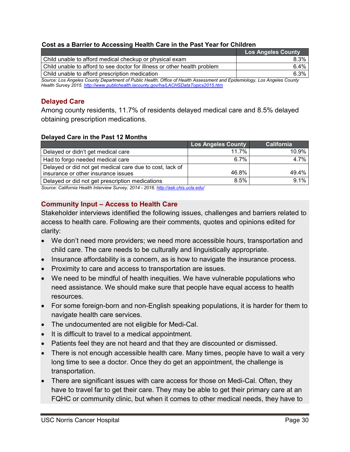### **Cost as a Barrier to Accessing Health Care in the Past Year for Children**

|                                                                                                                          | <b>Los Angeles County</b> |
|--------------------------------------------------------------------------------------------------------------------------|---------------------------|
| Child unable to afford medical checkup or physical exam                                                                  | $8.3\%$                   |
| Child unable to afford to see doctor for illness or other health problem                                                 | $6.4\%$                   |
| l Child unable to afford prescription medication.                                                                        | 6.3%                      |
| Source: Los Angeles County Department of Public Health, Office of Health Assessment and Epidemiology, Los Angeles County |                           |

*Source: Los Angeles County Department of Public Health, Office of Health Assessment and Epidemiology, Los Angeles County Health Survey 2015[. http://www.publichealth.lacounty.gov/ha/LACHSDataTopics2015.htm](http://www.publichealth.lacounty.gov/ha/LACHSDataTopics2015.htm)*

# <span id="page-30-0"></span>**Delayed Care**

Among county residents, 11.7% of residents delayed medical care and 8.5% delayed obtaining prescription medications.

### **Delayed Care in the Past 12 Months**

|                                                          | <b>Los Angeles County</b> | <b>California</b> |
|----------------------------------------------------------|---------------------------|-------------------|
| Delayed or didn't get medical care                       | 11.7%                     | 10.9%             |
| Had to forgo needed medical care                         | 6.7%                      | 4.7%              |
| Delayed or did not get medical care due to cost, lack of |                           |                   |
| insurance or other insurance issues                      | 46.8%                     | 49.4%             |
| Delayed or did not get prescription medications          | 8.5%                      | 9.1%              |

*Source: California Health Interview Survey, 2014 - 2016.<http://ask.chis.ucla.edu/>*

### <span id="page-30-1"></span>**Community Input – Access to Health Care**

Stakeholder interviews identified the following issues, challenges and barriers related to access to health care. Following are their comments, quotes and opinions edited for clarity:

- We don't need more providers; we need more accessible hours, transportation and child care. The care needs to be culturally and linguistically appropriate.
- Insurance affordability is a concern, as is how to navigate the insurance process.
- Proximity to care and access to transportation are issues.
- We need to be mindful of health inequities. We have vulnerable populations who need assistance. We should make sure that people have equal access to health resources.
- For some foreign-born and non-English speaking populations, it is harder for them to navigate health care services.
- The undocumented are not eligible for Medi-Cal.
- It is difficult to travel to a medical appointment.
- Patients feel they are not heard and that they are discounted or dismissed.
- There is not enough accessible health care. Many times, people have to wait a very long time to see a doctor. Once they do get an appointment, the challenge is transportation.
- There are significant issues with care access for those on Medi-Cal. Often, they have to travel far to get their care. They may be able to get their primary care at an FQHC or community clinic, but when it comes to other medical needs, they have to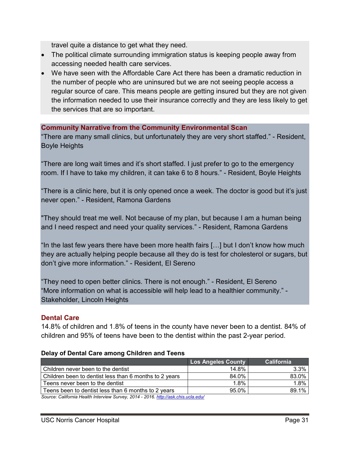travel quite a distance to get what they need.

- The political climate surrounding immigration status is keeping people away from accessing needed health care services.
- We have seen with the Affordable Care Act there has been a dramatic reduction in the number of people who are uninsured but we are not seeing people access a regular source of care. This means people are getting insured but they are not given the information needed to use their insurance correctly and they are less likely to get the services that are so important.

### **Community Narrative from the Community Environmental Scan**

"There are many small clinics, but unfortunately they are very short staffed." - Resident, Boyle Heights

"There are long wait times and it's short staffed. I just prefer to go to the emergency room. If I have to take my children, it can take 6 to 8 hours." - Resident, Boyle Heights

"There is a clinic here, but it is only opened once a week. The doctor is good but it's just never open." - Resident, Ramona Gardens

"They should treat me well. Not because of my plan, but because I am a human being and I need respect and need your quality services." - Resident, Ramona Gardens

"In the last few years there have been more health fairs […] but I don't know how much they are actually helping people because all they do is test for cholesterol or sugars, but don't give more information." - Resident, El Sereno

"They need to open better clinics. There is not enough." - Resident, El Sereno "More information on what is accessible will help lead to a healthier community." - Stakeholder, Lincoln Heights

### <span id="page-31-0"></span>**Dental Care**

14.8% of children and 1.8% of teens in the county have never been to a dentist. 84% of children and 95% of teens have been to the dentist within the past 2-year period.

|                                                        | <b>Los Angeles County</b> | <b>California</b> |
|--------------------------------------------------------|---------------------------|-------------------|
| Children never been to the dentist                     | 14.8%                     | 3.3%              |
| Children been to dentist less than 6 months to 2 years | 84.0%                     | 83.0%             |
| Teens never been to the dentist                        | 1.8%                      | 1.8%              |
| Teens been to dentist less than 6 months to 2 years    | 95.0%                     | 89.1%             |

#### **Delay of Dental Care among Children and Teens**

*Source: California Health Interview Survey, 2014 - 2016.<http://ask.chis.ucla.edu/>*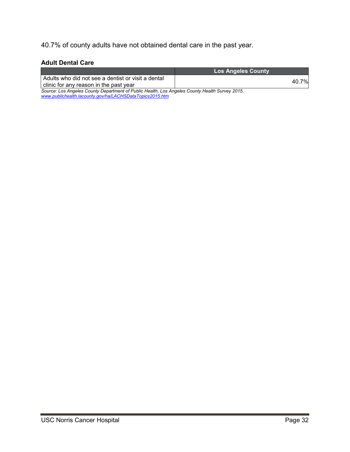40.7% of county adults have not obtained dental care in the past year.

### **Adult Dental Care**

*[www.publichealth.lacounty.gov/ha/LACHSDataTopics2015.htm](http://www.publichealth.lacounty.gov/ha/LACHSDataTopics2015.htm)*

|                                                                                                | <b>Los Angeles County</b> |
|------------------------------------------------------------------------------------------------|---------------------------|
| Adults who did not see a dentist or visit a dental<br>clinic for any reason in the past year   | 40.7%                     |
| Source: Los Angeles County Department of Public Health, Los Angeles County Health Survey 2015. |                           |

USC Norris Cancer Hospital **Page 32**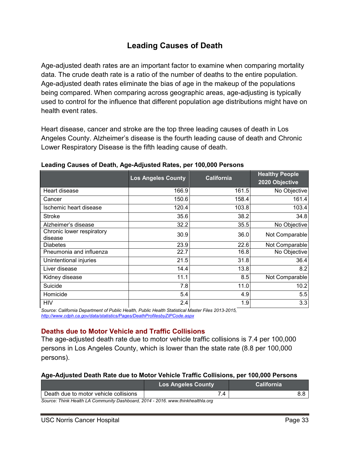# **Leading Causes of Death**

<span id="page-33-0"></span>Age-adjusted death rates are an important factor to examine when comparing mortality data. The crude death rate is a ratio of the number of deaths to the entire population. Age-adjusted death rates eliminate the bias of age in the makeup of the populations being compared. When comparing across geographic areas, age-adjusting is typically used to control for the influence that different population age distributions might have on health event rates.

Heart disease, cancer and stroke are the top three leading causes of death in Los Angeles County. Alzheimer's disease is the fourth leading cause of death and Chronic Lower Respiratory Disease is the fifth leading cause of death.

|                                      | <b>Los Angeles County</b> | <b>California</b> | <b>Healthy People</b><br>2020 Objective |
|--------------------------------------|---------------------------|-------------------|-----------------------------------------|
| Heart disease                        | 166.9                     | 161.5             | No Objective                            |
| Cancer                               | 150.6                     | 158.4             | 161.4                                   |
| Ischemic heart disease               | 120.4                     | 103.8             | 103.4                                   |
| <b>Stroke</b>                        | 35.6                      | 38.2              | 34.8                                    |
| Alzheimer's disease                  | 32.2                      | 35.5              | No Objective                            |
| Chronic lower respiratory<br>disease | 30.9                      | 36.0              | Not Comparable                          |
| <b>Diabetes</b>                      | 23.9                      | 22.6              | Not Comparable                          |
| Pneumonia and influenza              | 22.7                      | 16.8              | No Objective                            |
| Unintentional injuries               | 21.5                      | 31.8              | 36.4                                    |
| Liver disease                        | 14.4                      | 13.8              | 8.2                                     |
| Kidney disease                       | 11.1                      | 8.5               | Not Comparable                          |
| Suicide                              | 7.8                       | 11.0              | 10.2                                    |
| Homicide                             | 5.4                       | 4.9               | 5.5                                     |
| <b>HIV</b>                           | 2.4                       | 1.9               | 3.3                                     |

**Leading Causes of Death, Age-Adjusted Rates, per 100,000 Persons** 

*Source: California Department of Public Health, Public Health Statistical Master Files 2013-2015, <http://www.cdph.ca.gov/data/statistics/Pages/DeathProfilesbyZIPCode.aspx>*

# <span id="page-33-1"></span>**Deaths due to Motor Vehicle and Traffic Collisions**

The age-adjusted death rate due to motor vehicle traffic collisions is 7.4 per 100,000 persons in Los Angeles County, which is lower than the state rate (8.8 per 100,000 persons).

### **Age-Adjusted Death Rate due to Motor Vehicle Traffic Collisions, per 100,000 Persons**

|                                                                                 | <b>Los Angeles County</b> | <b>California</b> |  |  |
|---------------------------------------------------------------------------------|---------------------------|-------------------|--|--|
| Death due to motor vehicle collisions                                           |                           |                   |  |  |
| Source: Think Health LA Community Dashboard, 2014 - 2016. www.thinkhealthla.org |                           |                   |  |  |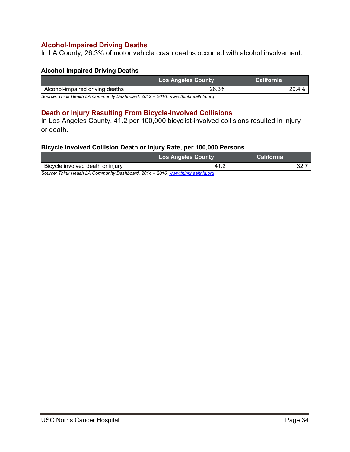### <span id="page-34-0"></span>**Alcohol-Impaired Driving Deaths**

In LA County, 26.3% of motor vehicle crash deaths occurred with alcohol involvement.

#### **Alcohol-Impaired Driving Deaths**

|                                 | <b>Los Angeles County</b> | California |
|---------------------------------|---------------------------|------------|
| Alcohol-impaired driving deaths | 26.3%                     | 29.4%      |
| $\sim$<br>$\cdots$ $\cdots$     | ----------<br><br>        |            |

*Source: Think Health LA Community Dashboard, 2012 – 2016. www.thinkhealthla.org*

### <span id="page-34-1"></span>**Death or Injury Resulting From Bicycle-Involved Collisions**

In Los Angeles County, 41.2 per 100,000 bicyclist-involved collisions resulted in injury or death.

### **Bicycle Involved Collision Death or Injury Rate, per 100,000 Persons**

|                                  | <b>Los Angeles County</b> | /California |  |
|----------------------------------|---------------------------|-------------|--|
| Bicycle involved death or injury |                           | _           |  |

*Source: Think Health LA Community Dashboard, 2014 – 2016[. www.thinkhealthla.org](http://www.thinkhealthla.org/)*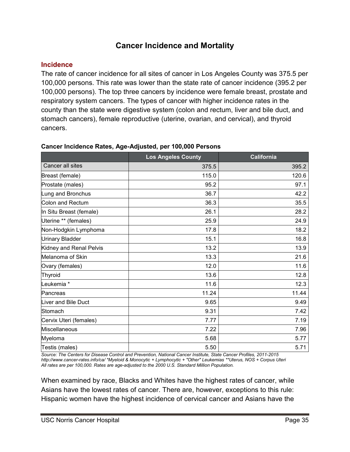# **Cancer Incidence and Mortality**

# <span id="page-35-1"></span><span id="page-35-0"></span>**Incidence**

The rate of cancer incidence for all sites of cancer in Los Angeles County was 375.5 per 100,000 persons. This rate was lower than the state rate of cancer incidence (395.2 per 100,000 persons). The top three cancers by incidence were female breast, prostate and respiratory system cancers. The types of cancer with higher incidence rates in the county than the state were digestive system (colon and rectum, liver and bile duct, and stomach cancers), female reproductive (uterine, ovarian, and cervical), and thyroid cancers.

|                         | <b>Los Angeles County</b> | California |
|-------------------------|---------------------------|------------|
| Cancer all sites        | 375.5                     | 395.2      |
| Breast (female)         | 115.0                     | 120.6      |
| Prostate (males)        | 95.2                      | 97.1       |
| Lung and Bronchus       | 36.7                      | 42.2       |
| Colon and Rectum        | 36.3                      | 35.5       |
| In Situ Breast (female) | 26.1                      | 28.2       |
| Uterine ** (females)    | 25.9                      | 24.9       |
| Non-Hodgkin Lymphoma    | 17.8                      | 18.2       |
| <b>Urinary Bladder</b>  | 15.1                      | 16.8       |
| Kidney and Renal Pelvis | 13.2                      | 13.9       |
| Melanoma of Skin        | 13.3                      | 21.6       |
| Ovary (females)         | 12.0                      | 11.6       |
| Thyroid                 | 13.6                      | 12.8       |
| Leukemia <sup>*</sup>   | 11.6                      | 12.3       |
| Pancreas                | 11.24                     | 11.44      |
| Liver and Bile Duct     | 9.65                      | 9.49       |
| Stomach                 | 9.31                      | 7.42       |
| Cervix Uteri (females)  | 7.77                      | 7.19       |
| Miscellaneous           | 7.22                      | 7.96       |
| Myeloma                 | 5.68                      | 5.77       |
| Testis (males)          | 5.50                      | 5.71       |

### **Cancer Incidence Rates, Age-Adjusted, per 100,000 Persons**

*Source: The Centers for Disease Control and Prevention, National Cancer Institute, State Cancer Profiles, 2011-2015 <http://www.cancer-rates.info/ca/> \*Myeloid & Monocytic + Lymphocytic + "Other" Leukemias \*\*Uterus, NOS + Corpus Uteri All rates are per 100,000. Rates are age-adjusted to the 2000 U.S. Standard Million Population.*

When examined by race, Blacks and Whites have the highest rates of cancer, while Asians have the lowest rates of cancer. There are, however, exceptions to this rule: Hispanic women have the highest incidence of cervical cancer and Asians have the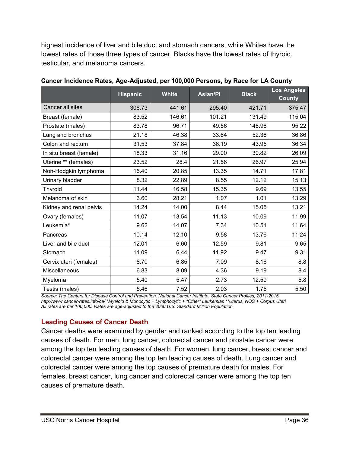highest incidence of liver and bile duct and stomach cancers, while Whites have the lowest rates of those three types of cancer. Blacks have the lowest rates of thyroid, testicular, and melanoma cancers.

|                         | <b>Hispanic</b> | <b>White</b> | <b>Asian/PI</b> | <b>Black</b> | <b>Los Angeles</b><br><b>County</b> |
|-------------------------|-----------------|--------------|-----------------|--------------|-------------------------------------|
| Cancer all sites        | 306.73          | 441.61       | 295.40          | 421.71       | 375.47                              |
| Breast (female)         | 83.52           | 146.61       | 101.21          | 131.49       | 115.04                              |
| Prostate (males)        | 83.78           | 96.71        | 49.56           | 146.96       | 95.22                               |
| Lung and bronchus       | 21.18           | 46.38        | 33.64           | 52.36        | 36.86                               |
| Colon and rectum        | 31.53           | 37.84        | 36.19           | 43.95        | 36.34                               |
| In situ breast (female) | 18.33           | 31.16        | 29.00           | 30.82        | 26.09                               |
| Uterine ** (females)    | 23.52           | 28.4         | 21.56           | 26.97        | 25.94                               |
| Non-Hodgkin lymphoma    | 16.40           | 20.85        | 13.35           | 14.71        | 17.81                               |
| Urinary bladder         | 8.32            | 22.89        | 8.55            | 12.12        | 15.13                               |
| <b>Thyroid</b>          | 11.44           | 16.58        | 15.35           | 9.69         | 13.55                               |
| Melanoma of skin        | 3.60            | 28.21        | 1.07            | 1.01         | 13.29                               |
| Kidney and renal pelvis | 14.24           | 14.00        | 8.44            | 15.05        | 13.21                               |
| Ovary (females)         | 11.07           | 13.54        | 11.13           | 10.09        | 11.99                               |
| Leukemia*               | 9.62            | 14.07        | 7.34            | 10.51        | 11.64                               |
| Pancreas                | 10.14           | 12.10        | 9.58            | 13.76        | 11.24                               |
| Liver and bile duct     | 12.01           | 6.60         | 12.59           | 9.81         | 9.65                                |
| Stomach                 | 11.09           | 6.44         | 11.92           | 9.47         | 9.31                                |
| Cervix uteri (females)  | 8.70            | 6.85         | 7.09            | 8.16         | 8.8                                 |
| Miscellaneous           | 6.83            | 8.09         | 4.36            | 9.19         | 8.4                                 |
| Myeloma                 | 5.40            | 5.47         | 2.73            | 12.59        | 5.8                                 |
| Testis (males)          | 5.46            | 7.52         | 2.03            | 1.75         | 5.50                                |

**Cancer Incidence Rates, Age-Adjusted, per 100,000 Persons, by Race for LA County**

*Source: The Centers for Disease Control and Prevention, National Cancer Institute, State Cancer Profiles, 2011-2015 <http://www.cancer-rates.info/ca/> \*Myeloid & Monocytic + Lymphocytic + "Other" Leukemias \*\*Uterus, NOS + Corpus Uteri All rates are per 100,000. Rates are age-adjusted to the 2000 U.S. Standard Million Population.*

# <span id="page-36-0"></span>**Leading Causes of Cancer Death**

Cancer deaths were examined by gender and ranked according to the top ten leading causes of death. For men, lung cancer, colorectal cancer and prostate cancer were among the top ten leading causes of death. For women, lung cancer, breast cancer and colorectal cancer were among the top ten leading causes of death. Lung cancer and colorectal cancer were among the top causes of premature death for males. For females, breast cancer, lung cancer and colorectal cancer were among the top ten causes of premature death.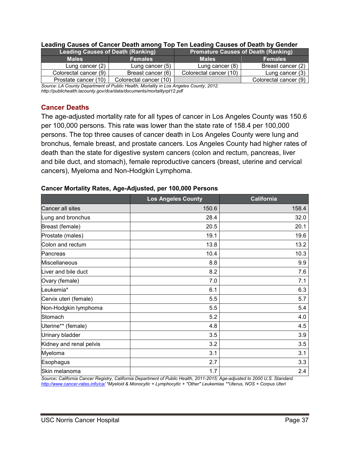| <b>Leading Causes of Death (Ranking)</b> |                        | <b>Premature Causes of Death (Ranking)</b> |                       |  |
|------------------------------------------|------------------------|--------------------------------------------|-----------------------|--|
| <b>Males</b><br><b>Females</b>           |                        | <b>Males</b>                               | <b>Females</b>        |  |
| Lung cancer $(2)$                        | Lung cancer $(5)$      | Lung cancer (8)                            | Breast cancer (2)     |  |
| Colorectal cancer (9)                    | Breast cancer (6)      | Colorectal cancer (10)                     | Lung cancer (3)       |  |
| Prostate cancer (10)                     | Colorectal cancer (10) |                                            | Colorectal cancer (9) |  |

#### **Leading Causes of Cancer Death among Top Ten Leading Causes of Death by Gender**

*Source: LA County Department of Public Health, Mortality in Los Angeles County, 2012. http://publichealth.lacounty.gov/dca/data/documents/mortalityrpt12.pdf*

# <span id="page-37-0"></span>**Cancer Deaths**

The age-adjusted mortality rate for all types of cancer in Los Angeles County was 150.6 per 100,000 persons. This rate was lower than the state rate of 158.4 per 100,000 persons. The top three causes of cancer death in Los Angeles County were lung and bronchus, female breast, and prostate cancers. Los Angeles County had higher rates of death than the state for digestive system cancers (colon and rectum, pancreas, liver and bile duct, and stomach), female reproductive cancers (breast, uterine and cervical cancers), Myeloma and Non-Hodgkin Lymphoma.

### **Cancer Mortality Rates, Age-Adjusted, per 100,000 Persons**

|                         | <b>Los Angeles County</b> | <b>California</b> |
|-------------------------|---------------------------|-------------------|
| Cancer all sites        | 150.6                     | 158.4             |
| Lung and bronchus       | 28.4                      | 32.0              |
| Breast (female)         | 20.5                      | 20.1              |
| Prostate (males)        | 19.1                      | 19.6              |
| Colon and rectum        | 13.8                      | 13.2              |
| Pancreas                | 10.4                      | 10.3              |
| Miscellaneous           | 8.8                       | 9.9               |
| Liver and bile duct     | 8.2                       | 7.6               |
| Ovary (female)          | 7.0                       | 7.1               |
| Leukemia*               | 6.1                       | 6.3               |
| Cervix uteri (female)   | 5.5                       | 5.7               |
| Non-Hodgkin lymphoma    | 5.5                       | 5.4               |
| Stomach                 | 5.2                       | 4.0               |
| Uterine** (female)      | 4.8                       | 4.5               |
| Urinary bladder         | 3.5                       | 3.9               |
| Kidney and renal pelvis | 3.2                       | 3.5               |
| Myeloma                 | 3.1                       | 3.1               |
| Esophagus               | 2.7                       | 3.3               |
| Skin melanoma           | 1.7                       | 2.4               |

*Source: California Cancer Registry, California Department of Public Health, 2011-2015; Age-adjusted to 2000 U.S. Standard. <http://www.cancer-rates.info/ca/> \*Myeloid & Monocytic + Lymphocytic + "Other" Leukemias \*\*Uterus, NOS + Corpus Uteri*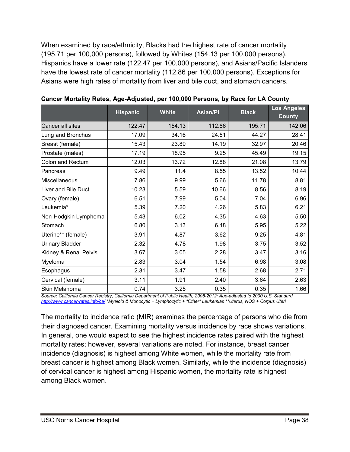When examined by race/ethnicity, Blacks had the highest rate of cancer mortality (195.71 per 100,000 persons), followed by Whites (154.13 per 100,000 persons). Hispanics have a lower rate (122.47 per 100,000 persons), and Asians/Pacific Islanders have the lowest rate of cancer mortality (112.86 per 100,000 persons). Exceptions for Asians were high rates of mortality from liver and bile duct, and stomach cancers.

|                        | <b>Hispanic</b> | <b>White</b> | <b>Asian/PI</b> | <b>Black</b> | <b>Los Angeles</b><br><b>County</b> |
|------------------------|-----------------|--------------|-----------------|--------------|-------------------------------------|
| Cancer all sites       | 122.47          | 154.13       | 112.86          | 195.71       | 142.06                              |
| Lung and Bronchus      | 17.09           | 34.16        | 24.51           | 44.27        | 28.41                               |
| Breast (female)        | 15.43           | 23.89        | 14.19           | 32.97        | 20.46                               |
| Prostate (males)       | 17.19           | 18.95        | 9.25            | 45.49        | 19.15                               |
| Colon and Rectum       | 12.03           | 13.72        | 12.88           | 21.08        | 13.79                               |
| Pancreas               | 9.49            | 11.4         | 8.55            | 13.52        | 10.44                               |
| Miscellaneous          | 7.86            | 9.99         | 5.66            | 11.78        | 8.81                                |
| Liver and Bile Duct    | 10.23           | 5.59         | 10.66           | 8.56         | 8.19                                |
| Ovary (female)         | 6.51            | 7.99         | 5.04            | 7.04         | 6.96                                |
| Leukemia*              | 5.39            | 7.20         | 4.26            | 5.83         | 6.21                                |
| Non-Hodgkin Lymphoma   | 5.43            | 6.02         | 4.35            | 4.63         | 5.50                                |
| Stomach                | 6.80            | 3.13         | 6.48            | 5.95         | 5.22                                |
| Uterine** (female)     | 3.91            | 4.87         | 3.62            | 9.25         | 4.81                                |
| <b>Urinary Bladder</b> | 2.32            | 4.78         | 1.98            | 3.75         | 3.52                                |
| Kidney & Renal Pelvis  | 3.67            | 3.05         | 2.28            | 3.47         | 3.16                                |
| Myeloma                | 2.83            | 3.04         | 1.54            | 6.98         | 3.08                                |
| Esophagus              | 2.31            | 3.47         | 1.58            | 2.68         | 2.71                                |
| Cervical (female)      | 3.11            | 1.91         | 2.40            | 3.64         | 2.63                                |
| Skin Melanoma          | 0.74            | 3.25         | 0.35            | 0.35         | 1.66                                |

|  | Cancer Mortality Rates, Age-Adjusted, per 100,000 Persons, by Race for LA County |  |  |
|--|----------------------------------------------------------------------------------|--|--|
|  |                                                                                  |  |  |

*Source: California Cancer Registry, California Department of Public Health, 2008-2012; Age-adjusted to 2000 U.S. Standard. <http://www.cancer-rates.info/ca/> \*Myeloid & Monocytic + Lymphocytic + "Other" Leukemias \*\*Uterus, NOS + Corpus Uteri*

The mortality to incidence ratio (MIR) examines the percentage of persons who die from their diagnosed cancer. Examining mortality versus incidence by race shows variations. In general, one would expect to see the highest incidence rates paired with the highest mortality rates; however, several variations are noted. For instance, breast cancer incidence (diagnosis) is highest among White women, while the mortality rate from breast cancer is highest among Black women. Similarly, while the incidence (diagnosis) of cervical cancer is highest among Hispanic women, the mortality rate is highest among Black women.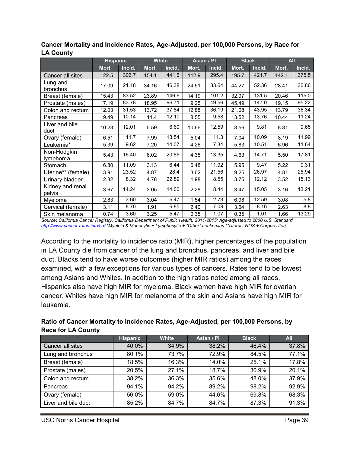|                            | <b>Hispanic</b> |        | <b>White</b> |        | Asian / Pl |        | <b>Black</b> |        | <b>All</b> |        |
|----------------------------|-----------------|--------|--------------|--------|------------|--------|--------------|--------|------------|--------|
|                            | Mort.           | Incid. | Mort.        | Incid. | Mort.      | Incid. | Mort.        | Incid. | Mort.      | Incid. |
| Cancer all sites           | 122.5           | 306.7  | 154.1        | 441.6  | 112.9      | 295.4  | 195.7        | 421.7  | 142.1      | 375.5  |
| Lung and<br>bronchus       | 17.09           | 21.18  | 34.16        | 46.38  | 24.51      | 33.64  | 44.27        | 52.36  | 28.41      | 36.86  |
| Breast (female)            | 15.43           | 83.52  | 23.89        | 146.6  | 14.19      | 101.2  | 32.97        | 131.5  | 20.46      | 115.0  |
| Prostate (males)           | 17.19           | 83.78  | 18.95        | 96.71  | 9.25       | 49.56  | 45.49        | 147.0  | 19.15      | 95.22  |
| Colon and rectum           | 12.03           | 31.53  | 13.72        | 37.84  | 12.88      | 36.19  | 21.08        | 43.95  | 13.79      | 36.34  |
| Pancreas                   | 9.49            | 10.14  | 11.4         | 12.10  | 8.55       | 9.58   | 13.52        | 13.76  | 10.44      | 11.24  |
| Liver and bile<br>duct     | 10.23           | 12.01  | 5.59         | 6.60   | 10.66      | 12.59  | 8.56         | 9.81   | 8.81       | 9.65   |
| Ovary (female)             | 6.51            | 11.7   | 7.99         | 13.54  | 5.04       | 11.3   | 7.04         | 10.09  | 8.19       | 11.99  |
| Leukemia*                  | 5.39            | 9.62   | 7.20         | 14.07  | 4.26       | 7.34   | 5.83         | 10.51  | 6.96       | 11.64  |
| Non-Hodgkin<br>lymphoma    | 5.43            | 16.40  | 6.02         | 20.85  | 4.35       | 13.35  | 4.63         | 14.71  | 5.50       | 17.81  |
| Stomach                    | 6.80            | 11.09  | 3.13         | 6.44   | 6.48       | 11.92  | 5.95         | 9.47   | 5.22       | 9.31   |
| Uterine** (female)         | 3.91            | 23.52  | 4.87         | 28.4   | 3.62       | 21.56  | 9.25         | 26.97  | 4.81       | 25.94  |
| Urinary bladder            | 2.32            | 8.32   | 4.78         | 22.89  | 1.98       | 8.55   | 3.75         | 12.12  | 3.52       | 15.13  |
| Kidney and renal<br>pelvis | 3.67            | 14.24  | 3.05         | 14.00  | 2.28       | 8.44   | 3.47         | 15.05  | 3.16       | 13.21  |
| Myeloma                    | 2.83            | 3.60   | 3.04         | 5.47   | 1.54       | 2.73   | 6.98         | 12.59  | 3.08       | 5.8    |
| Cervical (female)          | 3.11            | 8.70   | 1.91         | 6.85   | 2.40       | 7.09   | 3.64         | 8.16   | 2.63       | 8.8    |
| Skin melanoma              | 0.74            | 3.60   | 3.25         | 5.47   | 0.35       | 1.07   | 0.35         | 1.01   | 1.66       | 13.29  |

**Cancer Mortality and Incidence Rates, Age-Adjusted, per 100,000 Persons, by Race for LA County**

*Source: California Cancer Registry, California Department of Public Health, 2011-2015; Age-adjusted to 2000 U.S. Standard. <http://www.cancer-rates.info/ca/> \*Myeloid & Monocytic + Lymphocytic + "Other" Leukemias \*\*Uterus, NOS + Corpus Uteri*

According to the mortality to incidence ratio (MIR), higher percentages of the population in LA County die from cancer of the lung and bronchus, pancreas, and liver and bile duct. Blacks tend to have worse outcomes (higher MIR ratios) among the races examined, with a few exceptions for various types of cancers. Rates tend to be lowest among Asians and Whites. In addition to the high ratios noted among all races, Hispanics also have high MIR for myeloma. Black women have high MIR for ovarian cancer. Whites have high MIR for melanoma of the skin and Asians have high MIR for leukemia.

| Ratio of Cancer Mortality to Incidence Rates, Age-Adjusted, per 100,000 Persons, by |  |
|-------------------------------------------------------------------------------------|--|
| <b>Race for LA County</b>                                                           |  |

|                     | <b>Hispanic</b> | <b>White</b> | Asian / PI | <b>Black</b> | <b>All</b> |
|---------------------|-----------------|--------------|------------|--------------|------------|
| Cancer all sites    | 40.0%           | 34.9%        | 38.2%      | 46.4%        | 37.8%      |
| Lung and bronchus   | 80.1%           | 73.7%        | 72.9%      | 84.5%        | 77.1%      |
| Breast (female)     | 18.5%           | 16.3%        | 14.0%      | 25.1%        | 17.8%      |
| Prostate (males)    | 20.5%           | 27.1%        | 18.7%      | 30.9%        | 20.1%      |
| Colon and rectum    | 38.2%           | 36.3%        | 35.6%      | 48.0%        | 37.9%      |
| Pancreas            | 94.1%           | 94.2%        | 89.2%      | 98.2%        | 92.9%      |
| Ovary (female)      | 56.0%           | 59.0%        | 44.6%      | 69.8%        | 68.3%      |
| Liver and bile duct | 85.2%           | 84.7%        | 84.7%      | 87.3%        | 91.3%      |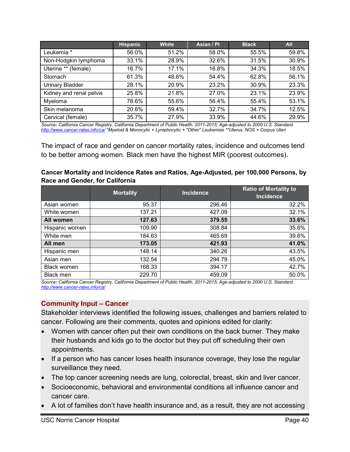|                         | <b>Hispanic</b> | <b>White</b> | Asian / PI | <b>Black</b> | <b>All</b> |
|-------------------------|-----------------|--------------|------------|--------------|------------|
| Leukemia *              | 56.0%           | 51.2%        | 58.0%      | 55.5%        | 59.8%      |
| Non-Hodgkin lymphoma    | 33.1%           | 28.9%        | 32.6%      | 31.5%        | 30.9%      |
| Uterine ** (female)     | 16.7%           | 17.1%        | 16.8%      | 34.3%        | 18.5%      |
| Stomach                 | 61.3%           | 48.6%        | 54.4%      | 62.8%        | 56.1%      |
| <b>Urinary Bladder</b>  | 28.1%           | 20.9%        | 23.2%      | 30.9%        | 23.3%      |
| Kidney and renal pelvis | 25.8%           | 21.8%        | 27.0%      | 23.1%        | 23.9%      |
| Myeloma                 | 78.6%           | 55.6%        | 56.4%      | 55.4%        | 53.1%      |
| Skin melanoma           | 20.6%           | 59.4%        | 32.7%      | 34.7%        | 12.5%      |
| Cervical (female)       | 35.7%           | 27.9%        | 33.9%      | 44.6%        | 29.9%      |

*Source: California Cancer Registry, California Department of Public Health, 2011-2015; Age-adjusted to 2000 U.S. Standard. <http://www.cancer-rates.info/ca/> \*Myeloid & Monocytic + Lymphocytic + "Other" Leukemias \*\*Uterus, NOS + Corpus Uteri*

The impact of race and gender on cancer mortality rates, incidence and outcomes tend to be better among women. Black men have the highest MIR (poorest outcomes).

| Cancer Mortality and Incidence Rates and Ratios, Age-Adjusted, per 100,000 Persons, by |  |
|----------------------------------------------------------------------------------------|--|
| Race and Gender, for California                                                        |  |

|                    | <b>Mortality</b> | <b>Incidence</b> | <b>Ratio of Mortality to</b> |
|--------------------|------------------|------------------|------------------------------|
|                    |                  |                  | <b>Incidence</b>             |
| Asian women        | 95.37            | 296.46           | 32.2%                        |
| White women        | 137.21           | 427.09           | 32.1%                        |
| All women          | 127.63           | 379.55           | 33.6%                        |
| Hispanic women     | 109.90           | 308.84           | 35.6%                        |
| White men          | 184.63           | 465.69           | 39.6%                        |
| All men            | 173.05           | 421.93           | 41.0%                        |
| Hispanic men       | 148.14           | 340.26           | 43.5%                        |
| Asian men          | 132.54           | 294.79           | 45.0%                        |
| <b>Black women</b> | 168.33           | 394.17           | 42.7%                        |
| <b>Black men</b>   | 229.70           | 459.09           | 50.0%                        |

*Source: California Cancer Registry, California Department of Public Health, 2011-2015; Age-adjusted to 2000 U.S. Standard. <http://www.cancer-rates.info/ca/>*

### <span id="page-40-0"></span>**Community Input – Cancer**

Stakeholder interviews identified the following issues, challenges and barriers related to cancer. Following are their comments, quotes and opinions edited for clarity:

- Women with cancer often put their own conditions on the back burner. They make their husbands and kids go to the doctor but they put off scheduling their own appointments.
- If a person who has cancer loses health insurance coverage, they lose the regular surveillance they need.
- The top cancer screening needs are lung, colorectal, breast, skin and liver cancer.
- Socioeconomic, behavioral and environmental conditions all influence cancer and cancer care.
- A lot of families don't have health insurance and, as a result, they are not accessing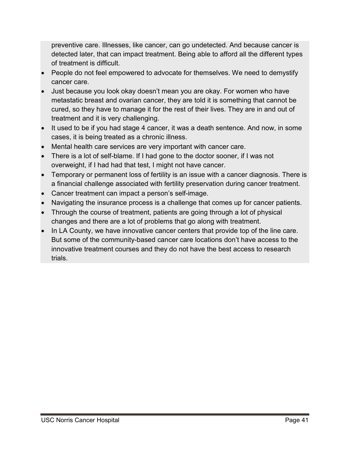preventive care. Illnesses, like cancer, can go undetected. And because cancer is detected later, that can impact treatment. Being able to afford all the different types of treatment is difficult.

- People do not feel empowered to advocate for themselves. We need to demystify cancer care.
- Just because you look okay doesn't mean you are okay. For women who have metastatic breast and ovarian cancer, they are told it is something that cannot be cured, so they have to manage it for the rest of their lives. They are in and out of treatment and it is very challenging.
- It used to be if you had stage 4 cancer, it was a death sentence. And now, in some cases, it is being treated as a chronic illness.
- Mental health care services are very important with cancer care.
- There is a lot of self-blame. If I had gone to the doctor sooner, if I was not overweight, if I had had that test, I might not have cancer.
- Temporary or permanent loss of fertility is an issue with a cancer diagnosis. There is a financial challenge associated with fertility preservation during cancer treatment.
- Cancer treatment can impact a person's self-image.
- Navigating the insurance process is a challenge that comes up for cancer patients.
- Through the course of treatment, patients are going through a lot of physical changes and there are a lot of problems that go along with treatment.
- In LA County, we have innovative cancer centers that provide top of the line care. But some of the community-based cancer care locations don't have access to the innovative treatment courses and they do not have the best access to research trials.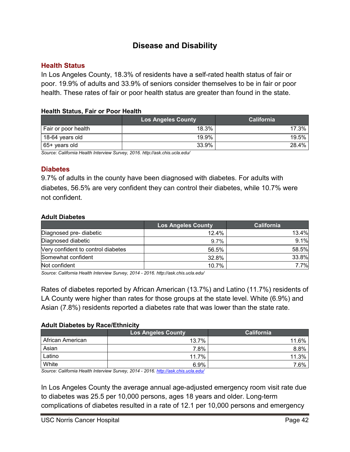# **Disease and Disability**

### <span id="page-42-1"></span><span id="page-42-0"></span>**Health Status**

In Los Angeles County, 18.3% of residents have a self-rated health status of fair or poor. 19.9% of adults and 33.9% of seniors consider themselves to be in fair or poor health. These rates of fair or poor health status are greater than found in the state.

### **Health Status, Fair or Poor Health**

|                     | <b>Los Angeles County</b> | <b>California</b> |
|---------------------|---------------------------|-------------------|
| Fair or poor health | 18.3%                     | 17.3%             |
| 18-64 years old     | 19.9%                     | 19.5%             |
| 65+ years old       | 33.9%                     | 28.4%             |

*Source: California Health Interview Survey, 2016. <http://ask.chis.ucla.edu/>*

### <span id="page-42-2"></span>**Diabetes**

9.7% of adults in the county have been diagnosed with diabetes. For adults with diabetes, 56.5% are very confident they can control their diabetes, while 10.7% were not confident.

### **Adult Diabetes**

|                                    | <b>Los Angeles County</b> | <b>California</b> |
|------------------------------------|---------------------------|-------------------|
| Diagnosed pre- diabetic            | 12.4%                     | 13.4%             |
| Diagnosed diabetic                 | 9.7%                      | 9.1%              |
| Very confident to control diabetes | 56.5%                     | 58.5%             |
| Somewhat confident                 | 32.8%                     | 33.8%             |
| Not confident                      | 10.7%                     | 7.7%              |

*Source: California Health Interview Survey, 2014 - 2016.<http://ask.chis.ucla.edu/>*

Rates of diabetes reported by African American (13.7%) and Latino (11.7%) residents of LA County were higher than rates for those groups at the state level. White (6.9%) and Asian (7.8%) residents reported a diabetes rate that was lower than the state rate.

### **Adult Diabetes by Race/Ethnicity**

|                  | <b>Los Angeles County</b> | <b>California</b> |
|------------------|---------------------------|-------------------|
| African American | 13.7%                     | 11.6%             |
| Asian            | 7.8%                      | 8.8%              |
| Latino           | 11.7%                     | 11.3%             |
| White            | 6.9%                      | 7.6%              |
|                  |                           |                   |

*Source: California Health Interview Survey, 2014 - 2016.<http://ask.chis.ucla.edu/>*

In Los Angeles County the average annual age-adjusted emergency room visit rate due to diabetes was 25.5 per 10,000 persons, ages 18 years and older. Long-term complications of diabetes resulted in a rate of 12.1 per 10,000 persons and emergency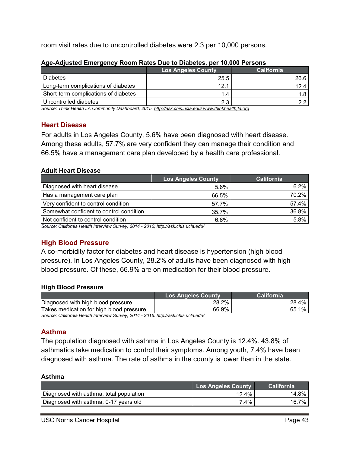room visit rates due to uncontrolled diabetes were 2.3 per 10,000 persons.

|                                      | <b>Los Angeles County</b> | <b>California</b> |
|--------------------------------------|---------------------------|-------------------|
| <b>Diabetes</b>                      | 25.5                      | 26.6              |
| Long-term complications of diabetes  | 12.1                      | 12.4              |
| Short-term complications of diabetes | 1.4                       |                   |
| Uncontrolled diabetes                | 2.3                       |                   |

### **Age-Adjusted Emergency Room Rates Due to Diabetes, per 10,000 Persons**

*Source: Think Health LA Community Dashboard, 2015[. http://ask.chis.ucla.edu/](http://ask.chis.ucla.edu/) www.thinkhealth;la.org*

### <span id="page-43-0"></span>**Heart Disease**

For adults in Los Angeles County, 5.6% have been diagnosed with heart disease. Among these adults, 57.7% are very confident they can manage their condition and 66.5% have a management care plan developed by a health care professional.

### **Adult Heart Disease**

|                                         | <b>Los Angeles County</b> | <b>California</b> |
|-----------------------------------------|---------------------------|-------------------|
| Diagnosed with heart disease            | 5.6%                      | 6.2%              |
| Has a management care plan              | 66.5%                     | 70.2%             |
| Very confident to control condition     | 57.7%                     | 57.4%             |
| Somewhat confident to control condition | 35.7%                     | 36.8%             |
| Not confident to control condition      | 6.6%                      | 5.8%              |

*Source: California Health Interview Survey, 2014 - 2016; <http://ask.chis.ucla.edu/>*

# <span id="page-43-1"></span>**High Blood Pressure**

A co-morbidity factor for diabetes and heart disease is hypertension (high blood pressure). In Los Angeles County, 28.2% of adults have been diagnosed with high blood pressure. Of these, 66.9% are on medication for their blood pressure.

### **High Blood Pressure**

|                                          | Los Angeles Countv | California |
|------------------------------------------|--------------------|------------|
| Diagnosed with high blood pressure       | 28.2%              | 4%<br>28.  |
| Takes medication for high blood pressure | 66.9%              | 1%<br>65   |

*Source: California Health Interview Survey, 2014 - 2016.<http://ask.chis.ucla.edu/>*

# <span id="page-43-2"></span>**Asthma**

The population diagnosed with asthma in Los Angeles County is 12.4%. 43.8% of asthmatics take medication to control their symptoms. Among youth, 7.4% have been diagnosed with asthma. The rate of asthma in the county is lower than in the state.

### **Asthma**

|                                         | <b>Los Angeles County</b> | <b>California</b> |
|-----------------------------------------|---------------------------|-------------------|
| Diagnosed with asthma, total population | 12.4%                     | 14.8% i           |
| Diagnosed with asthma, 0-17 years old   | 7.4%                      | $16.7\%$          |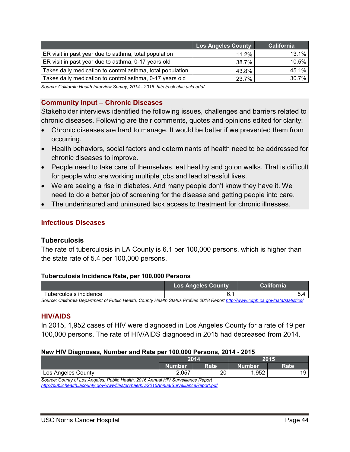|                                                            | <b>Los Angeles County</b> | California |
|------------------------------------------------------------|---------------------------|------------|
| ER visit in past year due to asthma, total population      | $11.2\%$                  | 13.1%      |
| ER visit in past year due to asthma, 0-17 years old        | 38.7%                     | 10.5%      |
| Takes daily medication to control asthma, total population | 43.8%                     | 45.1%      |
| Takes daily medication to control asthma, 0-17 years old   | 23.7%                     | 30.7%      |

*Source: California Health Interview Survey, 2014 - 2016.<http://ask.chis.ucla.edu/>*

# <span id="page-44-0"></span>**Community Input – Chronic Diseases**

Stakeholder interviews identified the following issues, challenges and barriers related to chronic diseases. Following are their comments, quotes and opinions edited for clarity:

- Chronic diseases are hard to manage. It would be better if we prevented them from occurring.
- Health behaviors, social factors and determinants of health need to be addressed for chronic diseases to improve.
- People need to take care of themselves, eat healthy and go on walks. That is difficult for people who are working multiple jobs and lead stressful lives.
- We are seeing a rise in diabetes. And many people don't know they have it. We need to do a better job of screening for the disease and getting people into care.
- The underinsured and uninsured lack access to treatment for chronic illnesses.

# <span id="page-44-1"></span>**Infectious Diseases**

### <span id="page-44-2"></span>**Tuberculosis**

The rate of tuberculosis in LA County is 6.1 per 100,000 persons, which is higher than the state rate of 5.4 per 100,000 persons.

### **Tuberculosis Incidence Rate, per 100,000 Persons**

|                                                                                                                                   | <b>Los Angeles County</b> | <b>California</b> |
|-----------------------------------------------------------------------------------------------------------------------------------|---------------------------|-------------------|
| Tuberculosis incidence                                                                                                            | 6.1                       |                   |
| Source: California Department of Public Health, County Health Status Profiles 2018 Report http://www.cdph.ca.gov/data/statistics/ |                           |                   |

### <span id="page-44-3"></span>**HIV/AIDS**

In 2015, 1,952 cases of HIV were diagnosed in Los Angeles County for a rate of 19 per 100,000 persons. The rate of HIV/AIDS diagnosed in 2015 had decreased from 2014.

### **New HIV Diagnoses, Number and Rate per 100,000 Persons, 2014 - 2015**

|                                                                                                                                                                            | 2014          |      | 2015   |      |
|----------------------------------------------------------------------------------------------------------------------------------------------------------------------------|---------------|------|--------|------|
|                                                                                                                                                                            | <b>Number</b> | Rate | Number | Rate |
| Los Angeles County                                                                                                                                                         | 2.057         | 20   | 1.952  | 19   |
| Source: County of Los Angeles, Public Health, 2016 Annual HIV Surveillance Report<br>http://publichealth.lacounty.gov/wwwfiles/ph/hae/hiv/2016AnnualSurveillanceReport.pdf |               |      |        |      |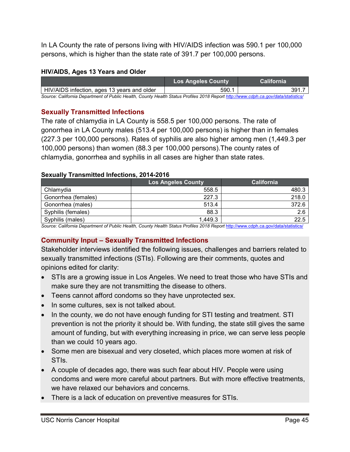In LA County the rate of persons living with HIV/AIDS infection was 590.1 per 100,000 persons, which is higher than the state rate of 391.7 per 100,000 persons.

### **HIV/AIDS, Ages 13 Years and Older**

|                                                                                                                                   | <b>Los Angeles County</b> | <b>California</b> |
|-----------------------------------------------------------------------------------------------------------------------------------|---------------------------|-------------------|
| HIV/AIDS infection, ages 13 years and older                                                                                       | 590.1                     | 391.7             |
| Source: California Department of Public Health, County Health Status Profiles 2018 Report http://www.cdph.ca.gov/data/statistics/ |                           |                   |

### <span id="page-45-0"></span>**Sexually Transmitted Infections**

The rate of chlamydia in LA County is 558.5 per 100,000 persons. The rate of gonorrhea in LA County males (513.4 per 100,000 persons) is higher than in females (227.3 per 100,000 persons). Rates of syphilis are also higher among men (1,449.3 per 100,000 persons) than women (88.3 per 100,000 persons).The county rates of chlamydia, gonorrhea and syphilis in all cases are higher than state rates.

### **Sexually Transmitted Infections, 2014-2016**

|                     | <b>Los Angeles County</b> | <b>California</b> |
|---------------------|---------------------------|-------------------|
| Chlamydia           | 558.5                     | 480.3             |
| Gonorrhea (females) | 227.3                     | 218.0             |
| Gonorrhea (males)   | 513.4                     | 372.6             |
| Syphilis (females)  | 88.3                      | 2.6               |
| Syphilis (males)    | 1,449.3                   | 22.5              |

Source: California Department of Public Health, County Health Status Profiles 2018 Report http://www.cdph.ca.gov/data/statist

# <span id="page-45-1"></span>**Community Input – Sexually Transmitted Infections**

Stakeholder interviews identified the following issues, challenges and barriers related to sexually transmitted infections (STIs). Following are their comments, quotes and opinions edited for clarity:

- STIs are a growing issue in Los Angeles. We need to treat those who have STIs and make sure they are not transmitting the disease to others.
- Teens cannot afford condoms so they have unprotected sex.
- In some cultures, sex is not talked about.
- In the county, we do not have enough funding for STI testing and treatment. STI prevention is not the priority it should be. With funding, the state still gives the same amount of funding, but with everything increasing in price, we can serve less people than we could 10 years ago.
- Some men are bisexual and very closeted, which places more women at risk of STIs.
- A couple of decades ago, there was such fear about HIV. People were using condoms and were more careful about partners. But with more effective treatments, we have relaxed our behaviors and concerns.
- There is a lack of education on preventive measures for STIs.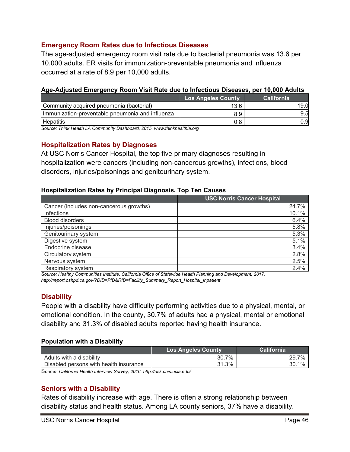### <span id="page-46-0"></span>**Emergency Room Rates due to Infectious Diseases**

The age-adjusted emergency room visit rate due to bacterial pneumonia was 13.6 per 10,000 adults. ER visits for immunization-preventable pneumonia and influenza occurred at a rate of 8.9 per 10,000 adults.

| <u>Ago-Adjusted Emergency Noom visit nate due to imeetious piscases, per reject Adults</u> |                           |                   |  |  |
|--------------------------------------------------------------------------------------------|---------------------------|-------------------|--|--|
|                                                                                            | <b>Los Angeles County</b> | <b>California</b> |  |  |
| Community acquired pneumonia (bacterial)                                                   | 13.6                      | 19.0              |  |  |
| Immunization-preventable pneumonia and influenza                                           | 8.9                       | 9.5               |  |  |
| <b>Hepatitis</b>                                                                           | 0.8                       | 0.9               |  |  |

### **Age-Adjusted Emergency Room Visit Rate due to Infectious Diseases, per 10,000 Adults**

*Source: Think Health LA Community Dashboard, 2015. www.thinkhealthla.org*

### <span id="page-46-1"></span>**Hospitalization Rates by Diagnoses**

At USC Norris Cancer Hospital, the top five primary diagnoses resulting in hospitalization were cancers (including non-cancerous growths), infections, blood disorders, injuries/poisonings and genitourinary system.

#### **Hospitalization Rates by Principal Diagnosis, Top Ten Causes**

|                                         | <b>USC Norris Cancer Hospital</b> |
|-----------------------------------------|-----------------------------------|
| Cancer (includes non-cancerous growths) | 24.7%                             |
| Infections                              | 10.1%                             |
| <b>Blood disorders</b>                  | 6.4%                              |
| Injuries/poisonings                     | 5.8%                              |
| Genitourinary system                    | 5.3%                              |
| Digestive system                        | 5.1%                              |
| Endocrine disease                       | 3.4%                              |
| Circulatory system                      | 2.8%                              |
| Nervous system                          | 2.5%                              |
| Respiratory system                      | 2.4%                              |

*Source: Healthy Communities Institute, California Office of Statewide Health Planning and Development, 2017. [http://report.oshpd.ca.gov/?DID=PID&RID=Facility\\_Summary\\_Report\\_Hospital\\_Inpatient](http://report.oshpd.ca.gov/?DID=PID&RID=Facility_Summary_Report_Hospital_Inpatient)*

### <span id="page-46-2"></span>**Disability**

People with a disability have difficulty performing activities due to a physical, mental, or emotional condition. In the county, 30.7% of adults had a physical, mental or emotional disability and 31.3% of disabled adults reported having health insurance.

#### **Population with a Disability**

| <b>Los Angeles County</b> | California |
|---------------------------|------------|
| 30.7%                     | 7%<br>29.  |
| 31.3%                     | 1%         |
|                           |            |

S*ource: California Health Interview Survey, 2016. <http://ask.chis.ucla.edu/>*

#### <span id="page-46-3"></span>**Seniors with a Disability**

Rates of disability increase with age. There is often a strong relationship between disability status and health status. Among LA county seniors, 37% have a disability.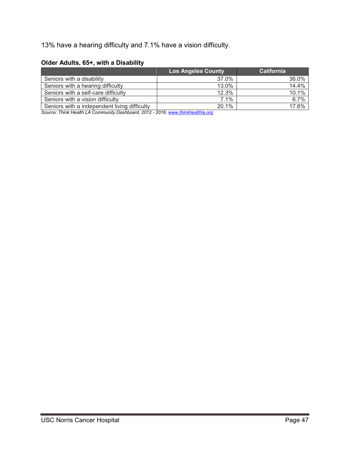13% have a hearing difficulty and 7.1% have a vision difficulty.

### **Older Adults, 65+, with a Disability**

|                                              | <b>Los Angeles County</b> | <b>California</b> |
|----------------------------------------------|---------------------------|-------------------|
| Seniors with a disability                    | 37.0%                     | 36.0%             |
| Seniors with a hearing difficulty            | 13.0%                     | 14.4%             |
| Seniors with a self-care difficulty          | 12.3%                     | 10.1%             |
| Seniors with a vision difficulty             | 7.1%                      | 6.7%              |
| Seniors with a independent living difficulty | 20.1%                     | 17.6%             |

*Source: Think Health LA Community Dashboard, 2012 - 2016. [www.thinkhealthla.org](http://www.thinkhealthla.org/)*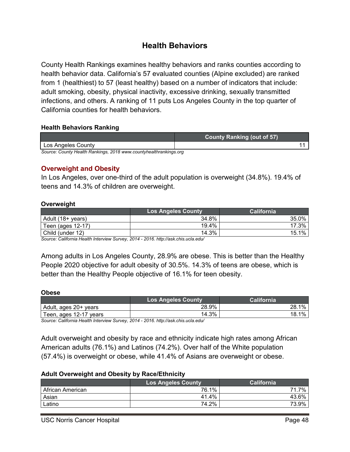# **Health Behaviors**

<span id="page-48-0"></span>County Health Rankings examines healthy behaviors and ranks counties according to health behavior data. California's 57 evaluated counties (Alpine excluded) are ranked from 1 (healthiest) to 57 (least healthy) based on a number of indicators that include: adult smoking, obesity, physical inactivity, excessive drinking, sexually transmitted infections, and others. A ranking of 11 puts Los Angeles County in the top quarter of California counties for health behaviors.

### **Health Behaviors Ranking**

|                                                                   | <b>County Ranking (out of 57)</b> |  |
|-------------------------------------------------------------------|-----------------------------------|--|
| Los Angeles County                                                |                                   |  |
| Source: County Health Rankings, 2018 www.countyhealthrankings.org |                                   |  |

### <span id="page-48-1"></span>**Overweight and Obesity**

In Los Angeles, over one-third of the adult population is overweight (34.8%). 19.4% of teens and 14.3% of children are overweight.

### **Overweight**

|                   | <b>Los Angeles County</b> | California |
|-------------------|---------------------------|------------|
| Adult (18+ years) | 34.8%                     | 35.0%      |
| Teen (ages 12-17) | 19.4%                     | 17.3%      |
| Child (under 12)  | 14.3%                     | 15.1%      |

*Source: California Health Interview Survey, 2014 - 2016. <http://ask.chis.ucla.edu/>*

Among adults in Los Angeles County, 28.9% are obese. This is better than the Healthy People 2020 objective for adult obesity of 30.5%. 14.3% of teens are obese, which is better than the Healthy People objective of 16.1% for teen obesity.

#### **Obese**

|                         | <b>Los Angeles County</b> | California   |
|-------------------------|---------------------------|--------------|
| l Adult, ages 20+ years | 28.9%                     | $1\%$<br>28. |
| Teen, ages 12-17 years  | 14.3%                     | 1%<br>18.    |

*Source: California Health Interview Survey, 2014 - 2016[. http://ask.chis.ucla.edu/](http://ask.chis.ucla.edu/)*

Adult overweight and obesity by race and ethnicity indicate high rates among African American adults (76.1%) and Latinos (74.2%). Over half of the White population (57.4%) is overweight or obese, while 41.4% of Asians are overweight or obese.

#### **Adult Overweight and Obesity by Race/Ethnicity**

|                  | <b>Los Angeles County</b> | California |
|------------------|---------------------------|------------|
| African American | 76.1%                     | 7%<br>71   |
| Asian            | 41.4%                     | 43.6%      |
| Latino           | 74.2%                     | 73.9%      |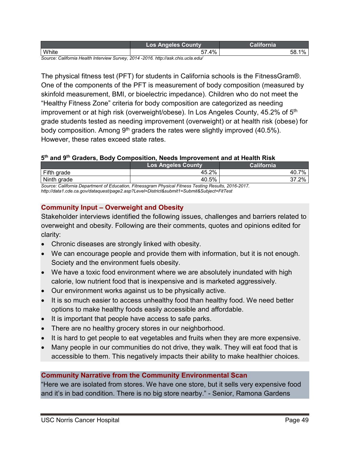|       | ns<br>ounty |                   |
|-------|-------------|-------------------|
| White | 4%<br>--    | 58<br>' U.<br>. . |

*Source: California Health Interview Survey, 2014 -2016[. http://ask.chis.ucla.edu/](http://ask.chis.ucla.edu/)*

The physical fitness test (PFT) for students in California schools is the FitnessGram®. One of the components of the PFT is measurement of body composition (measured by skinfold measurement, BMI, or bioelectric impedance). Children who do not meet the "Healthy Fitness Zone" criteria for body composition are categorized as needing improvement or at high risk (overweight/obese). In Los Angeles County, 45.2% of 5<sup>th</sup> grade students tested as needing improvement (overweight) or at health risk (obese) for body composition. Among 9<sup>th</sup> graders the rates were slightly improved (40.5%). However, these rates exceed state rates.

### **5th and 9th Graders, Body Composition, Needs Improvement and at Health Risk**

|                                                                                                | <b>Los Angeles County</b> | California    |
|------------------------------------------------------------------------------------------------|---------------------------|---------------|
| Fifth grade                                                                                    | 45.2%                     | 7%<br>- 40. . |
| Ninth grade                                                                                    | 40.5%                     | $37.2\%$      |
| Causes: California Denortment of Education, Eitnessersm Physical Eitnese Testing Desulte, 2016 |                           |               |

*Source: California Department of Education, Fitnessgram Physical Fitness Testing Results, 2016-2017. <http://data1.cde.ca.gov/dataquest/page2.asp?Level=District&submit1=Submit&Subject=FitTest>*

# <span id="page-49-0"></span>**Community Input – Overweight and Obesity**

Stakeholder interviews identified the following issues, challenges and barriers related to overweight and obesity. Following are their comments, quotes and opinions edited for clarity:

- Chronic diseases are strongly linked with obesity.
- We can encourage people and provide them with information, but it is not enough. Society and the environment fuels obesity.
- We have a toxic food environment where we are absolutely inundated with high calorie, low nutrient food that is inexpensive and is marketed aggressively.
- Our environment works against us to be physically active.
- It is so much easier to access unhealthy food than healthy food. We need better options to make healthy foods easily accessible and affordable.
- It is important that people have access to safe parks.
- There are no healthy grocery stores in our neighborhood.
- It is hard to get people to eat vegetables and fruits when they are more expensive.
- Many people in our communities do not drive, they walk. They will eat food that is accessible to them. This negatively impacts their ability to make healthier choices.

# **Community Narrative from the Community Environmental Scan**

"Here we are isolated from stores. We have one store, but it sells very expensive food and it's in bad condition. There is no big store nearby." - Senior, Ramona Gardens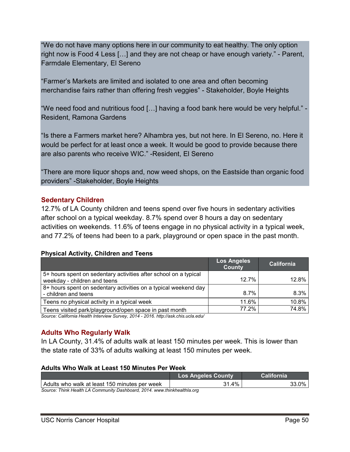"We do not have many options here in our community to eat healthy. The only option right now is Food 4 Less […] and they are not cheap or have enough variety." - Parent, Farmdale Elementary, El Sereno

"Farmer's Markets are limited and isolated to one area and often becoming merchandise fairs rather than offering fresh veggies" - Stakeholder, Boyle Heights

"We need food and nutritious food […] having a food bank here would be very helpful." - Resident, Ramona Gardens

"Is there a Farmers market here? Alhambra yes, but not here. In El Sereno, no. Here it would be perfect for at least once a week. It would be good to provide because there are also parents who receive WIC." -Resident, El Sereno

"There are more liquor shops and, now weed shops, on the Eastside than organic food providers" -Stakeholder, Boyle Heights

# <span id="page-50-0"></span>**Sedentary Children**

12.7% of LA County children and teens spend over five hours in sedentary activities after school on a typical weekday. 8.7% spend over 8 hours a day on sedentary activities on weekends. 11.6% of teens engage in no physical activity in a typical week, and 77.2% of teens had been to a park, playground or open space in the past month.

### **Physical Activity, Children and Teens**

|                                                                                                  | Los Angeles<br><b>County</b> | <b>California</b> |
|--------------------------------------------------------------------------------------------------|------------------------------|-------------------|
| 5+ hours spent on sedentary activities after school on a typical<br>weekday - children and teens | 12.7%                        | 12.8%             |
| 8+ hours spent on sedentary activities on a typical weekend day<br>- children and teens          | 8.7%                         | 8.3%              |
| Teens no physical activity in a typical week                                                     | 11.6%                        | 10.8%             |
| Teens visited park/playground/open space in past month                                           | 77.2%                        | 74.8%             |

*Source: California Health Interview Survey, 2014 - 2016. http://ask.chis.ucla.edu/*

# <span id="page-50-1"></span>**Adults Who Regularly Walk**

In LA County, 31.4% of adults walk at least 150 minutes per week. This is lower than the state rate of 33% of adults walking at least 150 minutes per week.

### **Adults Who Walk at Least 150 Minutes Per Week**

|                                                                          | <b>Los Angeles County</b> | <b>California</b> |
|--------------------------------------------------------------------------|---------------------------|-------------------|
| Adults who walk at least 150 minutes per week                            | 31.4%                     | $33.0\%$          |
| Source: Think Health LA Community Dashboard, 2014. www.thinkhealthla.org |                           |                   |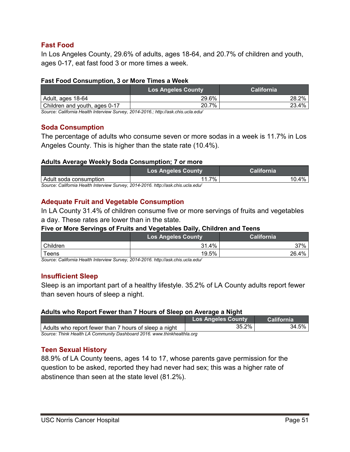# <span id="page-51-0"></span>**Fast Food**

In Los Angeles County, 29.6% of adults, ages 18-64, and 20.7% of children and youth, ages 0-17, eat fast food 3 or more times a week.

### **Fast Food Consumption, 3 or More Times a Week**

| <b>Los Angeles County</b> | <b>California</b> |
|---------------------------|-------------------|
| 29.6%                     | $28.2\%$          |
| 20.7%                     | 23.4%             |
|                           |                   |

*Source: California Health Interview Survey, 2014-2016.[; http://ask.chis.ucla.edu/](http://ask.chis.ucla.edu/)*

# <span id="page-51-1"></span>**Soda Consumption**

The percentage of adults who consume seven or more sodas in a week is 11.7% in Los Angeles County. This is higher than the state rate (10.4%).

### **Adults Average Weekly Soda Consumption; 7 or more**

|                                                                                  | <b>Los Angeles County</b> | <b>California</b> |
|----------------------------------------------------------------------------------|---------------------------|-------------------|
| Adult soda consumption                                                           | 7%                        | $10.4\%$          |
| Source: California Health Interview Survey, 2014-2016, http://ask.chis.ucla.edu/ |                           |                   |

*Source: California Health Interview Survey, 2014-2016. <http://ask.chis.ucla.edu/>*

# <span id="page-51-2"></span>**Adequate Fruit and Vegetable Consumption**

In LA County 31.4% of children consume five or more servings of fruits and vegetables a day. These rates are lower than in the state.

### **Five or More Servings of Fruits and Vegetables Daily, Children and Teens**

|             | <b>Los Angeles County</b> | California |
|-------------|---------------------------|------------|
| Children    | 31.4%                     | 37%        |
| $\tau$ eens | 19.5%                     | 26.4%      |

*Source: California Health Interview Survey, 2014-2016. http://ask.chis.ucla.edu/*

# <span id="page-51-3"></span>**Insufficient Sleep**

Sleep is an important part of a healthy lifestyle. 35.2% of LA County adults report fewer than seven hours of sleep a night.

### **Adults who Report Fewer than 7 Hours of Sleep on Average a Night**

|                                                                         | <b>Los Angeles County</b> | California |
|-------------------------------------------------------------------------|---------------------------|------------|
| Adults who report fewer than 7 hours of sleep a night                   | 35.2%                     | $34.5\%$   |
| Source: Think Health LA Community Dashboard 2016, www.thinkhealthla.org |                           |            |

# <span id="page-51-4"></span>**Teen Sexual History**

88.9% of LA County teens, ages 14 to 17, whose parents gave permission for the question to be asked, reported they had never had sex; this was a higher rate of abstinence than seen at the state level (81.2%).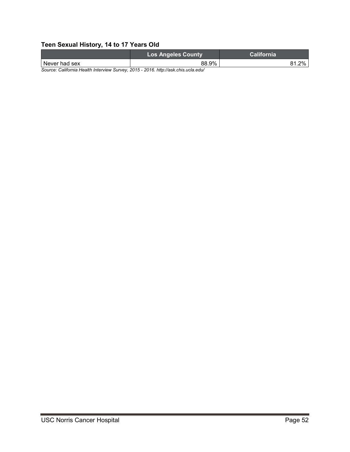# **Teen Sexual History, 14 to 17 Years Old**

|                                                                                    | <b>Los Angeles County</b> | California |
|------------------------------------------------------------------------------------|---------------------------|------------|
| l Never had sex                                                                    | 88.9%                     | 2%         |
| Course: Colifornia Hoalth Intonsiaus Sunsay, 2015, 2016, http://oak.ohia.ualo.odu/ |                           |            |

*Source: California Health Interview Survey, 2015 - 2016. http://ask.chis.ucla.edu/*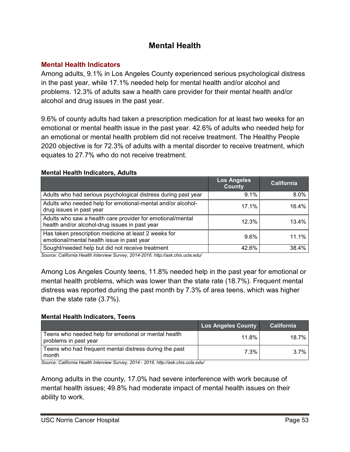# **Mental Health**

# <span id="page-53-1"></span><span id="page-53-0"></span>**Mental Health Indicators**

Among adults, 9.1% in Los Angeles County experienced serious psychological distress in the past year, while 17.1% needed help for mental health and/or alcohol and problems. 12.3% of adults saw a health care provider for their mental health and/or alcohol and drug issues in the past year.

9.6% of county adults had taken a prescription medication for at least two weeks for an emotional or mental health issue in the past year. 42.6% of adults who needed help for an emotional or mental health problem did not receive treatment. The Healthy People 2020 objective is for 72.3% of adults with a mental disorder to receive treatment, which equates to 27.7% who do not receive treatment.

### **Mental Health Indicators, Adults**

|                                                                                                              | <b>Los Angeles</b><br><b>County</b> | <b>California</b> |
|--------------------------------------------------------------------------------------------------------------|-------------------------------------|-------------------|
| Adults who had serious psychological distress during past year                                               | 9.1%                                | $8.0\%$           |
| Adults who needed help for emotional-mental and/or alcohol-<br>drug issues in past year                      | 17.1%                               | 16.4%             |
| Adults who saw a health care provider for emotional/mental<br>health and/or alcohol-drug issues in past year | 12.3%                               | 13.4%             |
| Has taken prescription medicine at least 2 weeks for<br>emotional/mental health issue in past year           | $9.6\%$                             | 11.1%             |
| Sought/needed help but did not receive treatment                                                             | 42.6%                               | 38.4%             |

*Source: California Health Interview Survey, 2014-2016. http://ask.chis.ucla.edu/*

Among Los Angeles County teens, 11.8% needed help in the past year for emotional or mental health problems, which was lower than the state rate (18.7%). Frequent mental distress was reported during the past month by 7.3% of area teens, which was higher than the state rate (3.7%).

# **Mental Health Indicators, Teens**

|                                                                               | <b>Los Angeles County</b> | California |
|-------------------------------------------------------------------------------|---------------------------|------------|
| Teens who needed help for emotional or mental health<br>problems in past year | 11.8%                     | 18.7%      |
| Teens who had frequent mental distress during the past<br>month               | 7.3%                      | 3.7%       |

*Source: California Health Interview Survey, 2014 - 2016. http://ask.chis.ucla.edu/*

Among adults in the county, 17.0% had severe interference with work because of mental health issues; 49.8% had moderate impact of mental health issues on their ability to work.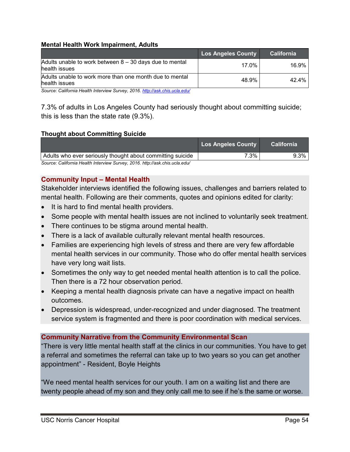### **Mental Health Work Impairment, Adults**

|                                                                            | Los Angeles County | <b>California</b> |
|----------------------------------------------------------------------------|--------------------|-------------------|
| Adults unable to work between $8 - 30$ days due to mental<br>health issues | 17.0%              | 16.9%             |
| Adults unable to work more than one month due to mental<br>health issues   | 48.9%              | 42.4%             |

*Source: California Health Interview Survey, 2016. <http://ask.chis.ucla.edu/>*

7.3% of adults in Los Angeles County had seriously thought about committing suicide; this is less than the state rate (9.3%).

### **Thought about Committing Suicide**

|                                                            | Los Angeles County | <b>California</b> |
|------------------------------------------------------------|--------------------|-------------------|
| Adults who ever seriously thought about committing suicide | $7.3\%$            | $9.3\%$           |
|                                                            |                    |                   |

*Source: California Health Interview Survey, 2016. http://ask.chis.ucla.edu/*

### <span id="page-54-0"></span>**Community Input – Mental Health**

Stakeholder interviews identified the following issues, challenges and barriers related to mental health. Following are their comments, quotes and opinions edited for clarity:

- It is hard to find mental health providers.
- Some people with mental health issues are not inclined to voluntarily seek treatment.
- There continues to be stigma around mental health.
- There is a lack of available culturally relevant mental health resources.
- Families are experiencing high levels of stress and there are very few affordable mental health services in our community. Those who do offer mental health services have very long wait lists.
- Sometimes the only way to get needed mental health attention is to call the police. Then there is a 72 hour observation period.
- Keeping a mental health diagnosis private can have a negative impact on health outcomes.
- Depression is widespread, under-recognized and under diagnosed. The treatment service system is fragmented and there is poor coordination with medical services.

# **Community Narrative from the Community Environmental Scan**

"There is very little mental health staff at the clinics in our communities. You have to get a referral and sometimes the referral can take up to two years so you can get another appointment" - Resident, Boyle Heights

"We need mental health services for our youth. I am on a waiting list and there are twenty people ahead of my son and they only call me to see if he's the same or worse.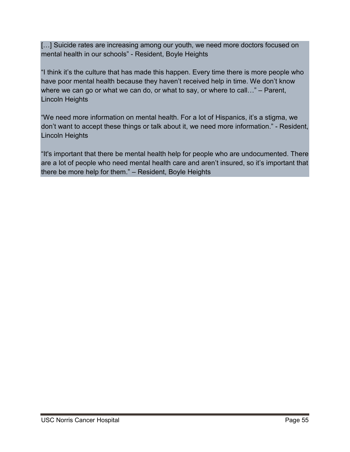[...] Suicide rates are increasing among our youth, we need more doctors focused on mental health in our schools" - Resident, Boyle Heights

"I think it's the culture that has made this happen. Every time there is more people who have poor mental health because they haven't received help in time. We don't know where we can go or what we can do, or what to say, or where to call…" – Parent, Lincoln Heights

"We need more information on mental health. For a lot of Hispanics, it's a stigma, we don't want to accept these things or talk about it, we need more information." - Resident, Lincoln Heights

"It's important that there be mental health help for people who are undocumented. There are a lot of people who need mental health care and aren't insured, so it's important that there be more help for them." – Resident, Boyle Heights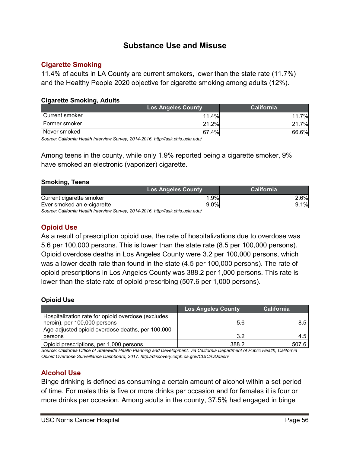# **Substance Use and Misuse**

### <span id="page-56-1"></span><span id="page-56-0"></span>**Cigarette Smoking**

11.4% of adults in LA County are current smokers, lower than the state rate (11.7%) and the Healthy People 2020 objective for cigarette smoking among adults (12%).

### **Cigarette Smoking, Adults**

|                | <b>Los Angeles County</b> | <b>California</b> |
|----------------|---------------------------|-------------------|
| Current smoker | 11.4%                     | 7%<br>11          |
| Former smoker  | 21.2%                     | 7%<br>21          |
| Never smoked   | 67.4%                     | 66.6%             |

*Source: California Health Interview Survey, 2014-2016. http://ask.chis.ucla.edu/*

Among teens in the county, while only 1.9% reported being a cigarette smoker, 9% have smoked an electronic (vaporizer) cigarette.

#### **Smoking, Teens**

|                                                                                                                                         | <b>Los Angeles County</b> | <b>California</b> |
|-----------------------------------------------------------------------------------------------------------------------------------------|---------------------------|-------------------|
| Current cigarette smoker                                                                                                                | .9%                       | 2.6%              |
| Ever smoked an e-cigarette                                                                                                              | 9.0%                      | $9.1\%$           |
| $\bigcap$ $\bigcap$ ifferent is the different set of $\bigcap$ in the $\bigcap$ and a $\bigcap$ and $\bigcap$ $I$ is it is not a set of |                           |                   |

*Source: California Health Interview Survey, 2014-2016. http://ask.chis.ucla.edu/*

# <span id="page-56-2"></span>**Opioid Use**

As a result of prescription opioid use, the rate of hospitalizations due to overdose was 5.6 per 100,000 persons. This is lower than the state rate (8.5 per 100,000 persons). Opioid overdose deaths in Los Angeles County were 3.2 per 100,000 persons, which was a lower death rate than found in the state (4.5 per 100,000 persons). The rate of opioid prescriptions in Los Angeles County was 388.2 per 1,000 persons. This rate is lower than the state rate of opioid prescribing (507.6 per 1,000 persons).

### **Opioid Use**

|                                                    | <b>Los Angeles County</b> | <b>California</b> |
|----------------------------------------------------|---------------------------|-------------------|
| Hospitalization rate for opioid overdose (excludes |                           |                   |
| heroin), per 100,000 persons                       | 5.6                       | 8.5               |
| Age-adjusted opioid overdose deaths, per 100,000   |                           |                   |
| persons                                            | 3.2                       | 4.5               |
| Opioid prescriptions, per 1,000 persons            | 388.2                     | 507.6             |

*Source: California Office of Statewide Health Planning and Development, via California Department of Public Health, California Opioid Overdose Surveillance Dashboard, 2017. http://discovery.cdph.ca.gov/CDIC/ODdash/* 

# <span id="page-56-3"></span>**Alcohol Use**

Binge drinking is defined as consuming a certain amount of alcohol within a set period of time. For males this is five or more drinks per occasion and for females it is four or more drinks per occasion. Among adults in the county, 37.5% had engaged in binge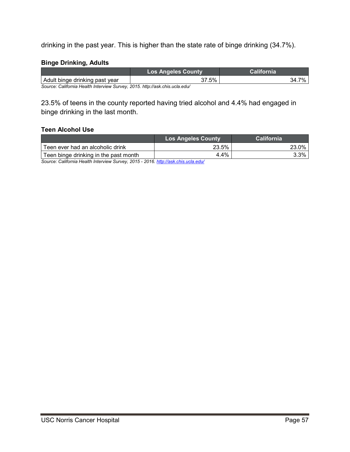drinking in the past year. This is higher than the state rate of binge drinking (34.7%).

### **Binge Drinking, Adults**

| $.5\%$ | 7%<br>34.7 |
|--------|------------|
|        |            |

*Source: California Health Interview Survey, 2015. http://ask.chis.ucla.edu/*

23.5% of teens in the county reported having tried alcohol and 4.4% had engaged in binge drinking in the last month.

### **Teen Alcohol Use**

|                                       | <b>Los Angeles County</b> | <b>California</b> |
|---------------------------------------|---------------------------|-------------------|
| Teen ever had an alcoholic drink      | 23.5%                     | 23.0%             |
| Teen binge drinking in the past month | 4.4%                      | 3.3%              |

*Source: California Health Interview Survey, 2015 - 2016. <http://ask.chis.ucla.edu/>*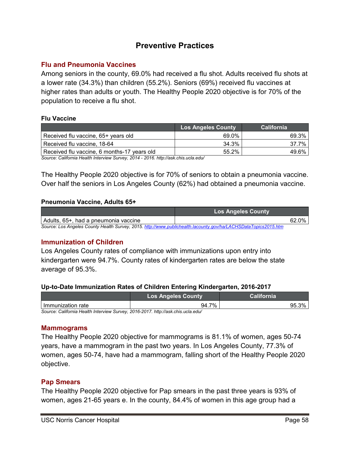# **Preventive Practices**

### <span id="page-58-1"></span><span id="page-58-0"></span>**Flu and Pneumonia Vaccines**

Among seniors in the county, 69.0% had received a flu shot. Adults received flu shots at a lower rate (34.3%) than children (55.2%). Seniors (69%) received flu vaccines at higher rates than adults or youth. The Healthy People 2020 objective is for 70% of the population to receive a flu shot.

### **Flu Vaccine**

|                                             | <b>Los Angeles County</b> | <b>California</b> |
|---------------------------------------------|---------------------------|-------------------|
| Received flu vaccine, 65+ years old         | 69.0%                     | 69.3%             |
| Received flu vaccine, 18-64                 | 34.3%                     | 37.7%             |
| Received flu vaccine, 6 months-17 years old | 55.2%                     | 49.6%             |

*Source: California Health Interview Survey, 2014 - 2016. http://ask.chis.ucla.edu/*

The Healthy People 2020 objective is for 70% of seniors to obtain a pneumonia vaccine. Over half the seniors in Los Angeles County (62%) had obtained a pneumonia vaccine.

### **Pneumonia Vaccine, Adults 65+**

|                                                                                                                 | <b>Los Angeles County</b> |
|-----------------------------------------------------------------------------------------------------------------|---------------------------|
| Adults, 65+, had a pneumonia vaccine                                                                            | 62.0%                     |
| Source: Los Angeles County Health Survey, 2015. http://www.publichealth.lacounty.gov/ha/LACHSDataTopics2015.htm |                           |

# <span id="page-58-2"></span>**Immunization of Children**

Los Angeles County rates of compliance with immunizations upon entry into kindergarten were 94.7%. County rates of kindergarten rates are below the state average of 95.3%.

### **Up-to-Date Immunization Rates of Children Entering Kindergarten, 2016-2017**

|                   | <b>Los Angeles County</b> | California |
|-------------------|---------------------------|------------|
| Immunization rate | 7%<br>94.7                | 3%<br>95.  |

*Source: California Health Interview Survey, 2016-2017. http://ask.chis.ucla.edu/*

### <span id="page-58-3"></span>**Mammograms**

The Healthy People 2020 objective for mammograms is 81.1% of women, ages 50-74 years, have a mammogram in the past two years. In Los Angeles County, 77.3% of women, ages 50-74, have had a mammogram, falling short of the Healthy People 2020 objective.

### <span id="page-58-4"></span>**Pap Smears**

The Healthy People 2020 objective for Pap smears in the past three years is 93% of women, ages 21-65 years e. In the county, 84.4% of women in this age group had a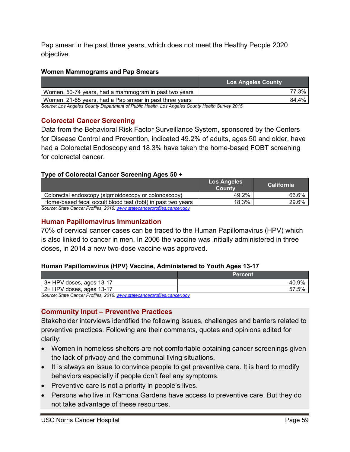Pap smear in the past three years, which does not meet the Healthy People 2020 objective.

### **Women Mammograms and Pap Smears**

|                                                                                             | <b>Los Angeles County</b> |
|---------------------------------------------------------------------------------------------|---------------------------|
| Women, 50-74 years, had a mammogram in past two years                                       | 77.3%                     |
| Women, 21-65 years, had a Pap smear in past three years                                     | 84.4%                     |
| Causey Lee Annales Causty Department of Dublie Hoolth Lee Annales Causty Hoolth Cunicy 2015 |                           |

*Source: Los Angeles County Department of Public Health, Los Angeles County Health Survey 2015*

# <span id="page-59-0"></span>**Colorectal Cancer Screening**

Data from the Behavioral Risk Factor Surveillance System, sponsored by the Centers for Disease Control and Prevention, indicated 49.2% of adults, ages 50 and older, have had a Colorectal Endoscopy and 18.3% have taken the home-based FOBT screening for colorectal cancer.

### **Type of Colorectal Cancer Screening Ages 50 +**

|                                                                         | <b>Los Angeles</b><br><b>County</b> | <b>California</b> |
|-------------------------------------------------------------------------|-------------------------------------|-------------------|
| Colorectal endoscopy (sigmoidoscopy or colonoscopy)                     | 49.2%                               | 66.6%             |
| Home-based fecal occult blood test (fobt) in past two years             | 18.3%                               | 29.6%             |
| Source: State Cancer Profiles, 2016, www.statecancerprofiles.cancer.gov |                                     |                   |

*Source: State Cancer Profiles, 2016. [www.statecancerprofiles.cancer.gov](http://www.statecancerprofiles.cancer.gov/)*

# <span id="page-59-1"></span>**Human Papillomavirus Immunization**

70% of cervical cancer cases can be traced to the Human Papillomavirus (HPV) which is also linked to cancer in men. In 2006 the vaccine was initially administered in three doses, in 2014 a new two-dose vaccine was approved.

### **Human Papillomavirus (HPV) Vaccine, Administered to Youth Ages 13-17**

|                                                                         | <b>Percent</b> |
|-------------------------------------------------------------------------|----------------|
| 3+ HPV doses, ages 13-17                                                | 40.9%          |
| $\vert$ 2+ HPV doses, ages 13-17                                        | 57.5%          |
| Source: State Cancer Profiles, 2016, www.statecancerprofiles.cancer.gov |                |

*Source: State Cancer Profiles, 2016. www.state* 

### <span id="page-59-2"></span>**Community Input – Preventive Practices**

Stakeholder interviews identified the following issues, challenges and barriers related to preventive practices. Following are their comments, quotes and opinions edited for clarity:

- Women in homeless shelters are not comfortable obtaining cancer screenings given the lack of privacy and the communal living situations.
- It is always an issue to convince people to get preventive care. It is hard to modify behaviors especially if people don't feel any symptoms.
- Preventive care is not a priority in people's lives.
- Persons who live in Ramona Gardens have access to preventive care. But they do not take advantage of these resources.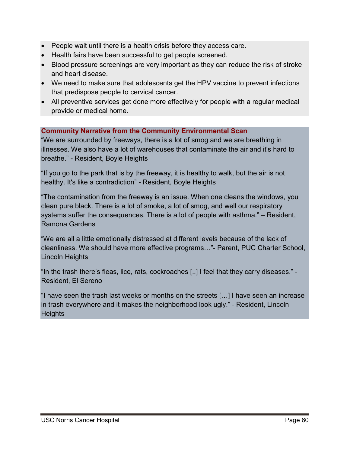- People wait until there is a health crisis before they access care.
- Health fairs have been successful to get people screened.
- Blood pressure screenings are very important as they can reduce the risk of stroke and heart disease.
- We need to make sure that adolescents get the HPV vaccine to prevent infections that predispose people to cervical cancer.
- All preventive services get done more effectively for people with a regular medical provide or medical home.

# **Community Narrative from the Community Environmental Scan**

"We are surrounded by freeways, there is a lot of smog and we are breathing in illnesses. We also have a lot of warehouses that contaminate the air and it's hard to breathe." - Resident, Boyle Heights

"If you go to the park that is by the freeway, it is healthy to walk, but the air is not healthy. It's like a contradiction" - Resident, Boyle Heights

"The contamination from the freeway is an issue. When one cleans the windows, you clean pure black. There is a lot of smoke, a lot of smog, and well our respiratory systems suffer the consequences. There is a lot of people with asthma." – Resident, Ramona Gardens

"We are all a little emotionally distressed at different levels because of the lack of cleanliness. We should have more effective programs…"- Parent, PUC Charter School, Lincoln Heights

"In the trash there's fleas, lice, rats, cockroaches [..] I feel that they carry diseases." - Resident, El Sereno

"I have seen the trash last weeks or months on the streets […] I have seen an increase in trash everywhere and it makes the neighborhood look ugly." - Resident, Lincoln **Heights**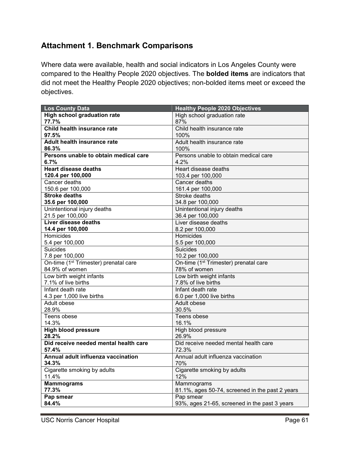# <span id="page-61-0"></span>**Attachment 1. Benchmark Comparisons**

Where data were available, health and social indicators in Los Angeles County were compared to the Healthy People 2020 objectives. The **bolded items** are indicators that did not meet the Healthy People 2020 objectives; non-bolded items meet or exceed the objectives.

| <b>Los County Data</b>                            | <b>Healthy People 2020 Objectives</b>             |
|---------------------------------------------------|---------------------------------------------------|
| <b>High school graduation rate</b>                | High school graduation rate                       |
| 77.7%                                             | 87%                                               |
| Child health insurance rate                       | Child health insurance rate                       |
| 97.5%                                             | 100%                                              |
| <b>Adult health insurance rate</b>                | Adult health insurance rate                       |
| 86.3%                                             | 100%                                              |
| Persons unable to obtain medical care             | Persons unable to obtain medical care             |
| 6.7%                                              | 4.2%                                              |
| <b>Heart disease deaths</b>                       | Heart disease deaths                              |
| 120.4 per 100,000                                 | 103.4 per 100,000                                 |
| Cancer deaths                                     | Cancer deaths                                     |
| 150.6 per 100,000                                 | 161.4 per 100,000                                 |
| <b>Stroke deaths</b>                              | Stroke deaths                                     |
| 35.6 per 100,000                                  | 34.8 per 100,000                                  |
| Unintentional injury deaths                       | Unintentional injury deaths                       |
| 21.5 per 100,000                                  | 36.4 per 100,000                                  |
| Liver disease deaths                              | Liver disease deaths                              |
| 14.4 per 100,000                                  | 8.2 per 100,000                                   |
| Homicides                                         | Homicides                                         |
| 5.4 per 100,000                                   | 5.5 per 100,000                                   |
| <b>Suicides</b>                                   | <b>Suicides</b>                                   |
| 7.8 per 100,000                                   | 10.2 per 100,000                                  |
| On-time (1 <sup>st</sup> Trimester) prenatal care | On-time (1 <sup>st</sup> Trimester) prenatal care |
| 84.9% of women                                    | 78% of women                                      |
| Low birth weight infants                          | Low birth weight infants                          |
| 7.1% of live births                               | 7.8% of live births                               |
| Infant death rate                                 | Infant death rate                                 |
| 4.3 per 1,000 live births                         | 6.0 per 1,000 live births                         |
| Adult obese                                       | Adult obese                                       |
| 28.9%                                             | 30.5%                                             |
| Teens obese                                       | Teens obese                                       |
| 14.3%                                             | 16.1%                                             |
| <b>High blood pressure</b>                        | High blood pressure                               |
| 28.2%                                             | 26.9%                                             |
| Did receive needed mental health care             | Did receive needed mental health care             |
| 57.4%                                             | 72.3%                                             |
| Annual adult influenza vaccination                | Annual adult influenza vaccination                |
| 34.3%                                             | 70%                                               |
| Cigarette smoking by adults                       | Cigarette smoking by adults                       |
| 11.4%                                             | 12%                                               |
| <b>Mammograms</b>                                 | Mammograms                                        |
| 77.3%                                             | 81.1%, ages 50-74, screened in the past 2 years   |
| Pap smear                                         | Pap smear                                         |
| 84.4%                                             | 93%, ages 21-65, screened in the past 3 years     |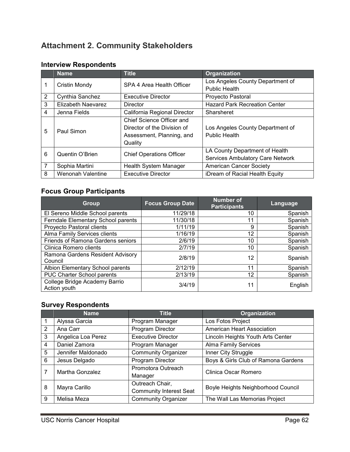# <span id="page-62-0"></span>**Attachment 2. Community Stakeholders**

|                 | <b>Name</b>                 | <b>Title</b>                     | <b>Organization</b>                     |
|-----------------|-----------------------------|----------------------------------|-----------------------------------------|
| 1               | Cristin Mondy               | SPA 4 Area Health Officer        | Los Angeles County Department of        |
|                 |                             |                                  | <b>Public Health</b>                    |
| $\overline{2}$  | Cynthia Sanchez             | <b>Executive Director</b>        | Proyecto Pastoral                       |
| 3               | Elizabeth Naevarez          | <b>Director</b>                  | <b>Hazard Park Recreation Center</b>    |
| 4               | Jenna Fields                | California Regional Director     | Sharsheret                              |
|                 |                             | Chief Science Officer and        |                                         |
| 5<br>Paul Simon | Director of the Division of | Los Angeles County Department of |                                         |
|                 |                             | Assessment, Planning, and        | <b>Public Health</b>                    |
|                 |                             | Quality                          |                                         |
| 6               | Quentin O'Brien             |                                  | LA County Department of Health          |
|                 |                             | <b>Chief Operations Officer</b>  | <b>Services Ambulatory Care Network</b> |
| 7               | Sophia Martini              | Health System Manager            | <b>American Cancer Society</b>          |
| 8               | Wenonah Valentine           | <b>Executive Director</b>        | iDream of Racial Health Equity          |

# **Interview Respondents**

# **Focus Group Participants**

| Group                                         | <b>Focus Group Date</b> | <b>Number of</b><br><b>Participants</b> | Language |
|-----------------------------------------------|-------------------------|-----------------------------------------|----------|
| El Sereno Middle School parents               | 11/29/18                | 10                                      | Spanish  |
| Ferndale Elementary School parents            | 11/30/18                | 11                                      | Spanish  |
| Proyecto Pastoral clients                     | 1/11/19                 | 9                                       | Spanish  |
| Alma Family Services clients                  | 1/16/19                 | 12                                      | Spanish  |
| <b>Friends of Ramona Gardens seniors</b>      | 2/6/19                  | 10                                      | Spanish  |
| Clinica Romero clients                        | 2/7/19                  | 10                                      | Spanish  |
| Ramona Gardens Resident Advisory<br>Council   | 2/8/19                  | 12                                      | Spanish  |
| Albion Elementary School parents              | 2/12/19                 | 11                                      | Spanish  |
| PUC Charter School parents                    | 2/13/19                 | 12                                      | Spanish  |
| College Bridge Academy Barrio<br>Action youth | 3/4/19                  | 11                                      | English  |

# **Survey Respondents**

|                | <b>Name</b>        | <b>Title</b>                                      | Organization                        |
|----------------|--------------------|---------------------------------------------------|-------------------------------------|
|                | Alyssa Garcia      | Program Manager                                   | Los Fotos Project                   |
| $\overline{2}$ | Ana Carr           | Program Director                                  | <b>American Heart Association</b>   |
| 3              | Angelica Loa Perez | <b>Executive Director</b>                         | Lincoln Heights Youth Arts Center   |
| 4              | Daniel Zamora      | Program Manager                                   | <b>Alma Family Services</b>         |
| 5              | Jennifer Maldonado | <b>Community Organizer</b>                        | Inner City Struggle                 |
| 6              | Jesus Delgado      | Program Director                                  | Boys & Girls Club of Ramona Gardens |
|                | Martha Gonzalez    | Promotora Outreach<br>Manager                     | Clinica Oscar Romero                |
| 8              | Mayra Carillo      | Outreach Chair,<br><b>Community Interest Seat</b> | Boyle Heights Neighborhood Council  |
| 9              | Melisa Meza        | <b>Community Organizer</b>                        | The Wall Las Memorias Project       |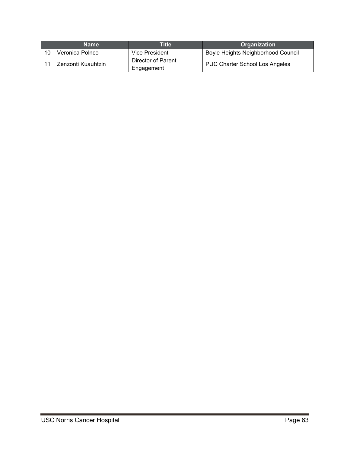|    | <b>Name</b>        | Title                            | <b>Organization</b>                   |
|----|--------------------|----------------------------------|---------------------------------------|
| 10 | Veronica Polnco    | Vice President                   | Boyle Heights Neighborhood Council    |
|    | Zenzonti Kuauhtzin | Director of Parent<br>Engagement | <b>PUC Charter School Los Angeles</b> |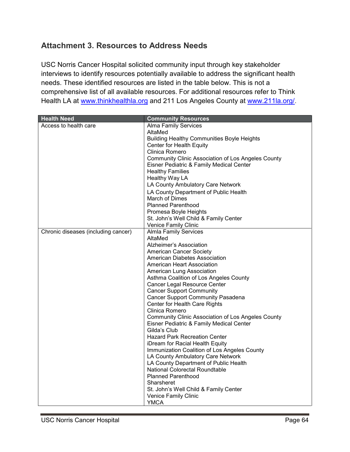# <span id="page-64-0"></span>**Attachment 3. Resources to Address Needs**

USC Norris Cancer Hospital solicited community input through key stakeholder interviews to identify resources potentially available to address the significant health needs. These identified resources are listed in the table below. This is not a comprehensive list of all available resources. For additional resources refer to Think Health LA at [www.thinkhealthla.org](http://www.thinkhealthla.org/) and 211 Los Angeles County at [www.211la.org/.](http://www.211la.org/)

| <b>Health Need</b>                  | <b>Community Resources</b>                                |
|-------------------------------------|-----------------------------------------------------------|
| Access to health care               | <b>Alma Family Services</b>                               |
|                                     | AltaMed                                                   |
|                                     | <b>Building Healthy Communities Boyle Heights</b>         |
|                                     | Center for Health Equity                                  |
|                                     | Clinica Romero                                            |
|                                     | <b>Community Clinic Association of Los Angeles County</b> |
|                                     | Eisner Pediatric & Family Medical Center                  |
|                                     | <b>Healthy Families</b>                                   |
|                                     | Healthy Way LA                                            |
|                                     | LA County Ambulatory Care Network                         |
|                                     | LA County Department of Public Health                     |
|                                     | March of Dimes                                            |
|                                     | <b>Planned Parenthood</b>                                 |
|                                     | Promesa Boyle Heights                                     |
|                                     | St. John's Well Child & Family Center                     |
|                                     | Venice Family Clinic                                      |
| Chronic diseases (including cancer) | <b>Almla Family Services</b>                              |
|                                     | AltaMed                                                   |
|                                     | Alzheimer's Association                                   |
|                                     | <b>American Cancer Society</b>                            |
|                                     | American Diabetes Association                             |
|                                     | American Heart Association                                |
|                                     | American Lung Association                                 |
|                                     | Asthma Coalition of Los Angeles County                    |
|                                     | <b>Cancer Legal Resource Center</b>                       |
|                                     | <b>Cancer Support Community</b>                           |
|                                     | <b>Cancer Support Community Pasadena</b>                  |
|                                     | Center for Health Care Rights                             |
|                                     | Clinica Romero                                            |
|                                     | <b>Community Clinic Association of Los Angeles County</b> |
|                                     | Eisner Pediatric & Family Medical Center                  |
|                                     | Gilda's Club                                              |
|                                     | <b>Hazard Park Recreation Center</b>                      |
|                                     | iDream for Racial Health Equity                           |
|                                     | Immunization Coalition of Los Angeles County              |
|                                     | LA County Ambulatory Care Network                         |
|                                     | LA County Department of Public Health                     |
|                                     | National Colorectal Roundtable                            |
|                                     | <b>Planned Parenthood</b>                                 |
|                                     | Sharsheret                                                |
|                                     | St. John's Well Child & Family Center                     |
|                                     | Venice Family Clinic                                      |
|                                     | <b>YMCA</b>                                               |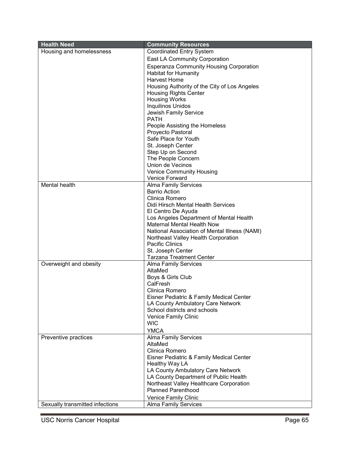| <b>Health Need</b>              | <b>Community Resources</b>                     |
|---------------------------------|------------------------------------------------|
| Housing and homelessness        | <b>Coordinated Entry System</b>                |
|                                 | <b>East LA Community Corporation</b>           |
|                                 | <b>Esperanza Community Housing Corporation</b> |
|                                 | <b>Habitat for Humanity</b>                    |
|                                 | <b>Harvest Home</b>                            |
|                                 | Housing Authority of the City of Los Angeles   |
|                                 | <b>Housing Rights Center</b>                   |
|                                 | <b>Housing Works</b>                           |
|                                 | Inquilinos Unidos                              |
|                                 | <b>Jewish Family Service</b>                   |
|                                 | <b>PATH</b>                                    |
|                                 | People Assisting the Homeless                  |
|                                 | Proyecto Pastoral                              |
|                                 | Safe Place for Youth                           |
|                                 | St. Joseph Center                              |
|                                 | Step Up on Second                              |
|                                 | The People Concern                             |
|                                 | Union de Vecinos                               |
|                                 | <b>Venice Community Housing</b>                |
|                                 | <b>Venice Forward</b>                          |
| Mental health                   | <b>Alma Family Services</b>                    |
|                                 | <b>Barrio Action</b>                           |
|                                 | Clinica Romero                                 |
|                                 | Didi Hirsch Mental Health Services             |
|                                 | El Centro De Ayuda                             |
|                                 | Los Angeles Department of Mental Health        |
|                                 | <b>Maternal Mental Health Now</b>              |
|                                 | National Association of Mental Illness (NAMI)  |
|                                 | Northeast Valley Health Corporation            |
|                                 | <b>Pacific Clinics</b>                         |
|                                 | St. Joseph Center                              |
|                                 | <b>Tarzana Treatment Center</b>                |
| Overweight and obesity          | Alma Family Services                           |
|                                 | AltaMed                                        |
|                                 | Boys & Girls Club<br>CalFresh                  |
|                                 | Clinica Romero                                 |
|                                 | Eisner Pediatric & Family Medical Center       |
|                                 | LA County Ambulatory Care Network              |
|                                 | School districts and schools                   |
|                                 | Venice Family Clinic                           |
|                                 | <b>WIC</b>                                     |
|                                 | <b>YMCA</b>                                    |
| Preventive practices            | <b>Alma Family Services</b>                    |
|                                 | AltaMed                                        |
|                                 | Clinica Romero                                 |
|                                 | Eisner Pediatric & Family Medical Center       |
|                                 | Healthy Way LA                                 |
|                                 | LA County Ambulatory Care Network              |
|                                 | LA County Department of Public Health          |
|                                 | Northeast Valley Healthcare Corporation        |
|                                 | <b>Planned Parenthood</b>                      |
|                                 | Venice Family Clinic                           |
| Sexually transmitted infections | <b>Alma Family Services</b>                    |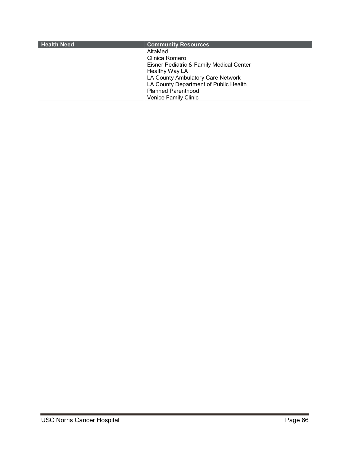| <b>Health Need</b> | <b>Community Resources</b>               |
|--------------------|------------------------------------------|
|                    | AltaMed                                  |
|                    | Clinica Romero                           |
|                    | Eisner Pediatric & Family Medical Center |
|                    | Healthy Way LA                           |
|                    | LA County Ambulatory Care Network        |
|                    | LA County Department of Public Health    |
|                    | <b>Planned Parenthood</b>                |
|                    | <b>Venice Family Clinic</b>              |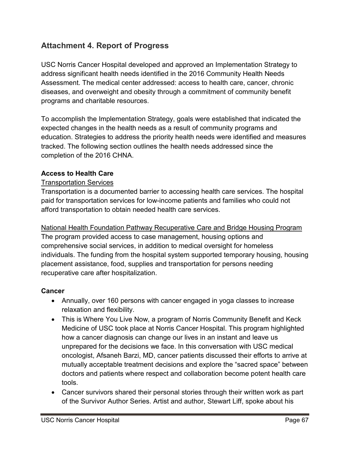# <span id="page-67-0"></span>**Attachment 4. Report of Progress**

USC Norris Cancer Hospital developed and approved an Implementation Strategy to address significant health needs identified in the 2016 Community Health Needs Assessment. The medical center addressed: access to health care, cancer, chronic diseases, and overweight and obesity through a commitment of community benefit programs and charitable resources.

To accomplish the Implementation Strategy, goals were established that indicated the expected changes in the health needs as a result of community programs and education. Strategies to address the priority health needs were identified and measures tracked. The following section outlines the health needs addressed since the completion of the 2016 CHNA.

# **Access to Health Care**

### Transportation Services

Transportation is a documented barrier to accessing health care services. The hospital paid for transportation services for low-income patients and families who could not afford transportation to obtain needed health care services.

National Health Foundation Pathway Recuperative Care and Bridge Housing Program The program provided access to case management, housing options and comprehensive social services, in addition to medical oversight for homeless individuals. The funding from the hospital system supported temporary housing, housing placement assistance, food, supplies and transportation for persons needing recuperative care after hospitalization.

# **Cancer**

- Annually, over 160 persons with cancer engaged in yoga classes to increase relaxation and flexibility.
- This is Where You Live Now, a program of Norris Community Benefit and Keck Medicine of USC took place at Norris Cancer Hospital. This program highlighted how a cancer diagnosis can change our lives in an instant and leave us unprepared for the decisions we face. In this conversation with USC medical oncologist, Afsaneh Barzi, MD, cancer patients discussed their efforts to arrive at mutually acceptable treatment decisions and explore the "sacred space" between doctors and patients where respect and collaboration become potent health care tools.
- Cancer survivors shared their personal stories through their written work as part of the Survivor Author Series. Artist and author, Stewart Liff, spoke about his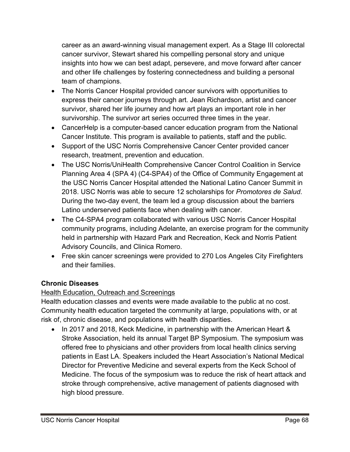career as an award-winning visual management expert. As a Stage III colorectal cancer survivor, Stewart shared his compelling personal story and unique insights into how we can best adapt, persevere, and move forward after cancer and other life challenges by fostering connectedness and building a personal team of champions.

- The Norris Cancer Hospital provided cancer survivors with opportunities to express their cancer journeys through art. Jean Richardson, artist and cancer survivor, shared her life journey and how art plays an important role in her survivorship. The survivor art series occurred three times in the year.
- CancerHelp is a computer-based cancer education program from the National Cancer Institute. This program is available to patients, staff and the public.
- Support of the USC Norris Comprehensive Cancer Center provided cancer research, treatment, prevention and education.
- The USC Norris/UniHealth Comprehensive Cancer Control Coalition in Service Planning Area 4 (SPA 4) (C4-SPA4) of the Office of Community Engagement at the USC Norris Cancer Hospital attended the National Latino Cancer Summit in 2018. USC Norris was able to secure 12 scholarships for *Promotores de Salud*. During the two-day event, the team led a group discussion about the barriers Latino underserved patients face when dealing with cancer.
- The C4-SPA4 program collaborated with various USC Norris Cancer Hospital community programs, including Adelante, an exercise program for the community held in partnership with Hazard Park and Recreation, Keck and Norris Patient Advisory Councils, and Clinica Romero.
- Free skin cancer screenings were provided to 270 Los Angeles City Firefighters and their families.

# **Chronic Diseases**

# **Health Education, Outreach and Screenings**

Health education classes and events were made available to the public at no cost. Community health education targeted the community at large, populations with, or at risk of, chronic disease, and populations with health disparities.

• In 2017 and 2018, Keck Medicine, in partnership with the American Heart & Stroke Association, held its annual Target BP Symposium. The symposium was offered free to physicians and other providers from local health clinics serving patients in East LA. Speakers included the Heart Association's National Medical Director for Preventive Medicine and several experts from the Keck School of Medicine. The focus of the symposium was to reduce the risk of heart attack and stroke through comprehensive, active management of patients diagnosed with high blood pressure.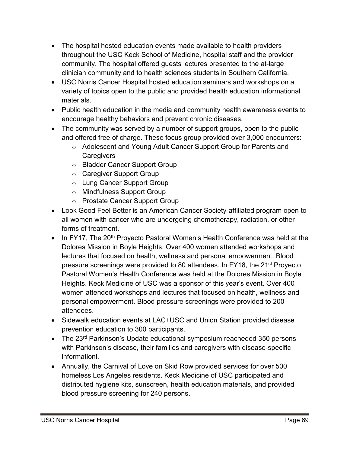- The hospital hosted education events made available to health providers throughout the USC Keck School of Medicine, hospital staff and the provider community. The hospital offered guests lectures presented to the at-large clinician community and to health sciences students in Southern California.
- USC Norris Cancer Hospital hosted education seminars and workshops on a variety of topics open to the public and provided health education informational materials.
- Public health education in the media and community health awareness events to encourage healthy behaviors and prevent chronic diseases.
- The community was served by a number of support groups, open to the public and offered free of charge. These focus group provided over 3,000 encounters:
	- o Adolescent and Young Adult Cancer Support Group for Parents and **Caregivers**
	- o Bladder Cancer Support Group
	- o Caregiver Support Group
	- o Lung Cancer Support Group
	- o Mindfulness Support Group
	- o Prostate Cancer Support Group
- Look Good Feel Better is an American Cancer Society-affiliated program open to all women with cancer who are undergoing chemotherapy, radiation, or other forms of treatment.
- In FY17, The 20<sup>th</sup> Proyecto Pastoral Women's Health Conference was held at the Dolores Mission in Boyle Heights. Over 400 women attended workshops and lectures that focused on health, wellness and personal empowerment. Blood pressure screenings were provided to 80 attendees. In FY18, the 21<sup>st</sup> Proyecto Pastoral Women's Health Conference was held at the Dolores Mission in Boyle Heights. Keck Medicine of USC was a sponsor of this year's event. Over 400 women attended workshops and lectures that focused on health, wellness and personal empowerment. Blood pressure screenings were provided to 200 attendees.
- Sidewalk education events at LAC+USC and Union Station provided disease prevention education to 300 participants.
- The 23<sup>rd</sup> Parkinson's Update educational symposium reacheded 350 persons with Parkinson's disease, their families and caregivers with disease-specific informationl.
- Annually, the Carnival of Love on Skid Row provided services for over 500 homeless Los Angeles residents. Keck Medicine of USC participated and distributed hygiene kits, sunscreen, health education materials, and provided blood pressure screening for 240 persons.